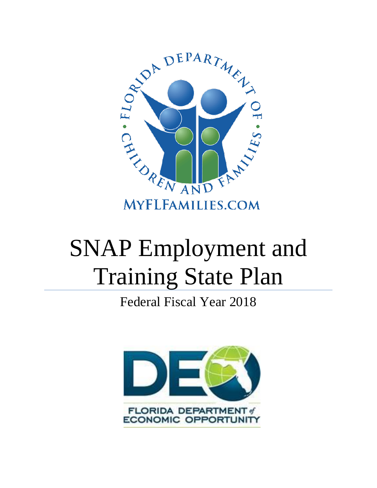

# SNAP Employment and Training State Plan

Federal Fiscal Year 2018

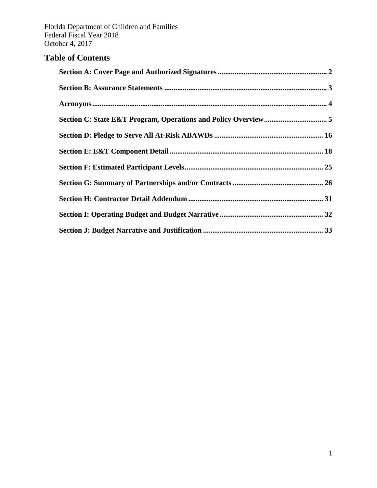# **Table of Contents**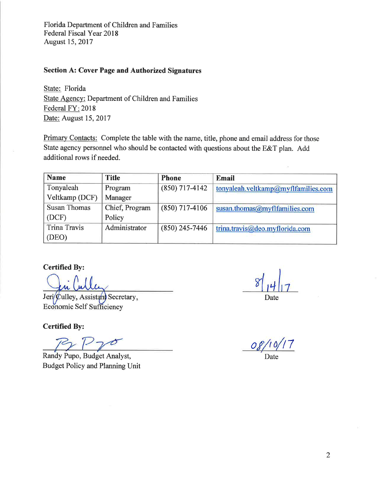#### **Section A: Cover Page and Authorized Signatures**

State: Florida **State Agency: Department of Children and Families** Federal FY: 2018 Date: August 15, 2017

Primary Contacts: Complete the table with the name, title, phone and email address for those State agency personnel who should be contacted with questions about the E&T plan. Add additional rows if needed.

| <b>Name</b>         | <b>Title</b>   | <b>Phone</b>     | <b>Email</b>                        |
|---------------------|----------------|------------------|-------------------------------------|
| Tonyaleah           | Program        | $(850)$ 717-4142 | tonyaleah.veltkamp@myflfamilies.com |
| Veltkamp (DCF)      | Manager        |                  |                                     |
| <b>Susan Thomas</b> | Chief, Program | $(850)$ 717-4106 | susan.thomas@myflfamilies.com       |
| (DCF)               | Policy         |                  |                                     |
| <b>Trina Travis</b> | Administrator  | $(850)$ 245-7446 | trina.travis@deo.myflorida.com      |
| (DEO)               |                |                  |                                     |

**Certified By:** 

Jeri/Culley, Assistan) Secretary, **Economic Self Sufficiency** 

**Certified By:** 

Randy Pupo, Budget Analyst, **Budget Policy and Planning Unit** 

Date

08/10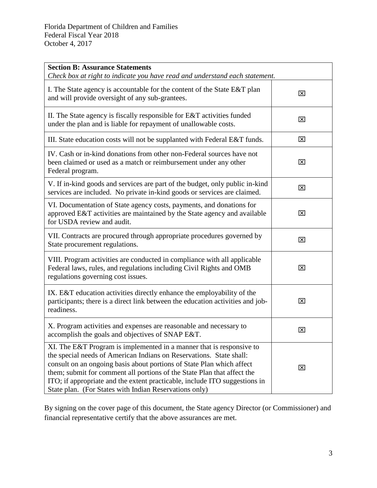| <b>Section B: Assurance Statements</b><br>Check box at right to indicate you have read and understand each statement.                                                                                                                                                                                                                                                                                                                   |                         |
|-----------------------------------------------------------------------------------------------------------------------------------------------------------------------------------------------------------------------------------------------------------------------------------------------------------------------------------------------------------------------------------------------------------------------------------------|-------------------------|
| I. The State agency is accountable for the content of the State E&T plan<br>and will provide oversight of any sub-grantees.                                                                                                                                                                                                                                                                                                             | ⊠                       |
| II. The State agency is fiscally responsible for E&T activities funded<br>under the plan and is liable for repayment of unallowable costs.                                                                                                                                                                                                                                                                                              | ⊠                       |
| III. State education costs will not be supplanted with Federal E&T funds.                                                                                                                                                                                                                                                                                                                                                               | $\boxtimes$             |
| IV. Cash or in-kind donations from other non-Federal sources have not<br>been claimed or used as a match or reimbursement under any other<br>Federal program.                                                                                                                                                                                                                                                                           | $\mathbf{\overline{X}}$ |
| V. If in-kind goods and services are part of the budget, only public in-kind<br>services are included. No private in-kind goods or services are claimed.                                                                                                                                                                                                                                                                                | $\mathbf x$             |
| VI. Documentation of State agency costs, payments, and donations for<br>approved E&T activities are maintained by the State agency and available<br>for USDA review and audit.                                                                                                                                                                                                                                                          | ⊠                       |
| VII. Contracts are procured through appropriate procedures governed by<br>State procurement regulations.                                                                                                                                                                                                                                                                                                                                | ⊠                       |
| VIII. Program activities are conducted in compliance with all applicable<br>Federal laws, rules, and regulations including Civil Rights and OMB<br>regulations governing cost issues.                                                                                                                                                                                                                                                   | ⊠                       |
| IX. E&T education activities directly enhance the employability of the<br>participants; there is a direct link between the education activities and job-<br>readiness.                                                                                                                                                                                                                                                                  | $\boxtimes$             |
| X. Program activities and expenses are reasonable and necessary to<br>accomplish the goals and objectives of SNAP E&T.                                                                                                                                                                                                                                                                                                                  | ∣×∣                     |
| XI. The E&T Program is implemented in a manner that is responsive to<br>the special needs of American Indians on Reservations. State shall:<br>consult on an ongoing basis about portions of State Plan which affect<br>them; submit for comment all portions of the State Plan that affect the<br>ITO; if appropriate and the extent practicable, include ITO suggestions in<br>State plan. (For States with Indian Reservations only) | $\boxtimes$             |

By signing on the cover page of this document, the State agency Director (or Commissioner) and financial representative certify that the above assurances are met.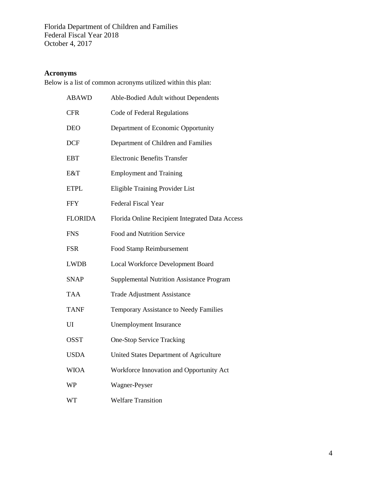## <span id="page-4-0"></span>**Acronyms**

Below is a list of common acronyms utilized within this plan:

| <b>ABAWD</b>   | Able-Bodied Adult without Dependents            |
|----------------|-------------------------------------------------|
| <b>CFR</b>     | Code of Federal Regulations                     |
| <b>DEO</b>     | Department of Economic Opportunity              |
| <b>DCF</b>     | Department of Children and Families             |
| <b>EBT</b>     | <b>Electronic Benefits Transfer</b>             |
| E&T            | <b>Employment and Training</b>                  |
| <b>ETPL</b>    | Eligible Training Provider List                 |
| <b>FFY</b>     | <b>Federal Fiscal Year</b>                      |
| <b>FLORIDA</b> | Florida Online Recipient Integrated Data Access |
| <b>FNS</b>     | Food and Nutrition Service                      |
| <b>FSR</b>     | Food Stamp Reimbursement                        |
| <b>LWDB</b>    | Local Workforce Development Board               |
| <b>SNAP</b>    | Supplemental Nutrition Assistance Program       |
| <b>TAA</b>     | <b>Trade Adjustment Assistance</b>              |
| <b>TANF</b>    | Temporary Assistance to Needy Families          |
| UI             | <b>Unemployment Insurance</b>                   |
| <b>OSST</b>    | <b>One-Stop Service Tracking</b>                |
| <b>USDA</b>    | United States Department of Agriculture         |
| <b>WIOA</b>    | Workforce Innovation and Opportunity Act        |
| <b>WP</b>      | Wagner-Peyser                                   |
| <b>WT</b>      | <b>Welfare Transition</b>                       |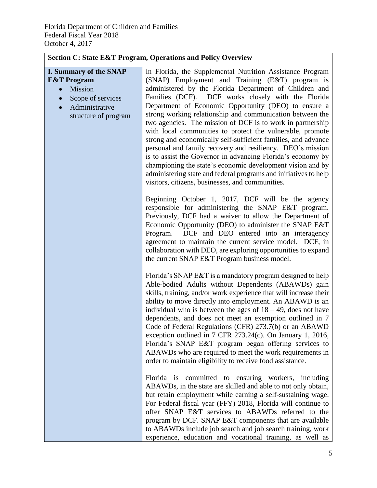<span id="page-5-0"></span>

| <b>Section C: State E&amp;T Program, Operations and Policy Overview</b>                                                                                                  |                                                                                                                                                                                                                                                                                                                                                                                                                                                                                                                                                                                                                                                                                                                                                                                                                                                                  |  |
|--------------------------------------------------------------------------------------------------------------------------------------------------------------------------|------------------------------------------------------------------------------------------------------------------------------------------------------------------------------------------------------------------------------------------------------------------------------------------------------------------------------------------------------------------------------------------------------------------------------------------------------------------------------------------------------------------------------------------------------------------------------------------------------------------------------------------------------------------------------------------------------------------------------------------------------------------------------------------------------------------------------------------------------------------|--|
| <b>I. Summary of the SNAP</b><br><b>E&amp;T</b> Program<br>Mission<br>$\bullet$<br>Scope of services<br>$\bullet$<br>Administrative<br>$\bullet$<br>structure of program | In Florida, the Supplemental Nutrition Assistance Program<br>(SNAP) Employment and Training (E&T) program is<br>administered by the Florida Department of Children and<br>Families (DCF). DCF works closely with the Florida<br>Department of Economic Opportunity (DEO) to ensure a<br>strong working relationship and communication between the<br>two agencies. The mission of DCF is to work in partnership<br>with local communities to protect the vulnerable, promote<br>strong and economically self-sufficient families, and advance<br>personal and family recovery and resiliency. DEO's mission<br>is to assist the Governor in advancing Florida's economy by<br>championing the state's economic development vision and by<br>administering state and federal programs and initiatives to help<br>visitors, citizens, businesses, and communities. |  |
|                                                                                                                                                                          | Beginning October 1, 2017, DCF will be the agency<br>responsible for administering the SNAP E&T program.<br>Previously, DCF had a waiver to allow the Department of<br>Economic Opportunity (DEO) to administer the SNAP E&T<br>DCF and DEO entered into an interagency<br>Program.<br>agreement to maintain the current service model. DCF, in<br>collaboration with DEO, are exploring opportunities to expand<br>the current SNAP E&T Program business model.                                                                                                                                                                                                                                                                                                                                                                                                 |  |
|                                                                                                                                                                          | Florida's SNAP E&T is a mandatory program designed to help<br>Able-bodied Adults without Dependents (ABAWDs) gain<br>skills, training, and/or work experience that will increase their<br>ability to move directly into employment. An ABAWD is an<br>individual who is between the ages of $18 - 49$ , does not have<br>dependents, and does not meet an exemption outlined in 7<br>Code of Federal Regulations (CFR) 273.7(b) or an ABAWD<br>exception outlined in $7$ CFR $273.24(c)$ . On January 1, 2016,<br>Florida's SNAP E&T program began offering services to<br>ABAWDs who are required to meet the work requirements in<br>order to maintain eligibility to receive food assistance.                                                                                                                                                                 |  |
|                                                                                                                                                                          | Florida is committed to ensuring workers, including<br>ABAWDs, in the state are skilled and able to not only obtain,<br>but retain employment while earning a self-sustaining wage.<br>For Federal fiscal year (FFY) 2018, Florida will continue to<br>offer SNAP E&T services to ABAWDs referred to the<br>program by DCF. SNAP E&T components that are available<br>to ABAWDs include job search and job search training, work<br>experience, education and vocational training, as well as                                                                                                                                                                                                                                                                                                                                                                    |  |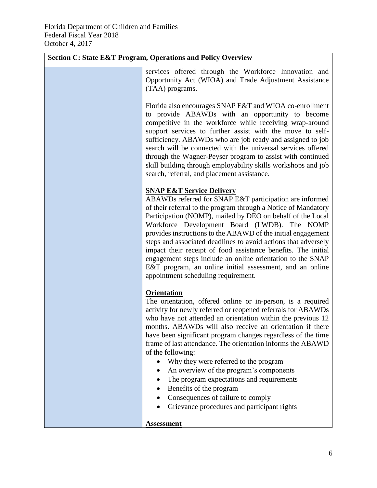| <b>Section C: State E&amp;T Program, Operations and Policy Overview</b> |                                                                                                                                                                                                                                                                                                                                                                                                                                                                                                                                                                                                                                                                                  |  |
|-------------------------------------------------------------------------|----------------------------------------------------------------------------------------------------------------------------------------------------------------------------------------------------------------------------------------------------------------------------------------------------------------------------------------------------------------------------------------------------------------------------------------------------------------------------------------------------------------------------------------------------------------------------------------------------------------------------------------------------------------------------------|--|
|                                                                         | services offered through the Workforce Innovation and<br>Opportunity Act (WIOA) and Trade Adjustment Assistance<br>(TAA) programs.                                                                                                                                                                                                                                                                                                                                                                                                                                                                                                                                               |  |
|                                                                         | Florida also encourages SNAP E&T and WIOA co-enrollment<br>to provide ABAWDs with an opportunity to become<br>competitive in the workforce while receiving wrap-around<br>support services to further assist with the move to self-<br>sufficiency. ABAWDs who are job ready and assigned to job<br>search will be connected with the universal services offered<br>through the Wagner-Peyser program to assist with continued<br>skill building through employability skills workshops and job<br>search, referral, and placement assistance.                                                                                                                                   |  |
|                                                                         | <b>SNAP E&amp;T Service Delivery</b><br>ABAWDs referred for SNAP E&T participation are informed<br>of their referral to the program through a Notice of Mandatory<br>Participation (NOMP), mailed by DEO on behalf of the Local<br>Workforce Development Board (LWDB). The NOMP<br>provides instructions to the ABAWD of the initial engagement<br>steps and associated deadlines to avoid actions that adversely<br>impact their receipt of food assistance benefits. The initial<br>engagement steps include an online orientation to the SNAP<br>E&T program, an online initial assessment, and an online<br>appointment scheduling requirement.                              |  |
|                                                                         | <b>Orientation</b><br>The orientation, offered online or in-person, is a required<br>activity for newly referred or reopened referrals for ABAWDs<br>who have not attended an orientation within the previous 12<br>months. ABAWDs will also receive an orientation if there<br>have been significant program changes regardless of the time<br>frame of last attendance. The orientation informs the ABAWD<br>of the following:<br>Why they were referred to the program<br>An overview of the program's components<br>The program expectations and requirements<br>Benefits of the program<br>Consequences of failure to comply<br>Grievance procedures and participant rights |  |
|                                                                         | <b>Assessment</b>                                                                                                                                                                                                                                                                                                                                                                                                                                                                                                                                                                                                                                                                |  |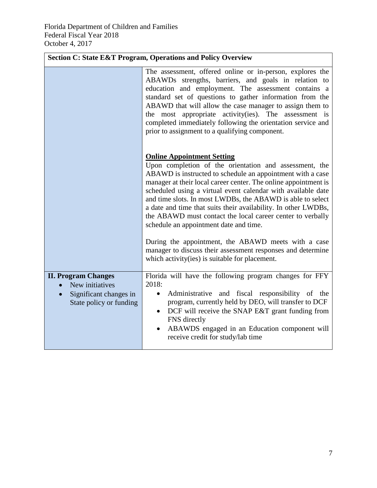|                                                                                                    | <b>Section C: State E&amp;T Program, Operations and Policy Overview</b>                                                                                                                                                                                                                                                                                                                                                                                                                                                                                                                                                                                                                                      |
|----------------------------------------------------------------------------------------------------|--------------------------------------------------------------------------------------------------------------------------------------------------------------------------------------------------------------------------------------------------------------------------------------------------------------------------------------------------------------------------------------------------------------------------------------------------------------------------------------------------------------------------------------------------------------------------------------------------------------------------------------------------------------------------------------------------------------|
|                                                                                                    | The assessment, offered online or in-person, explores the<br>ABAWDs strengths, barriers, and goals in relation to<br>education and employment. The assessment contains a<br>standard set of questions to gather information from the<br>ABAWD that will allow the case manager to assign them to<br>the most appropriate activity(ies). The assessment is<br>completed immediately following the orientation service and<br>prior to assignment to a qualifying component.                                                                                                                                                                                                                                   |
|                                                                                                    | <b>Online Appointment Setting</b><br>Upon completion of the orientation and assessment, the<br>ABAWD is instructed to schedule an appointment with a case<br>manager at their local career center. The online appointment is<br>scheduled using a virtual event calendar with available date<br>and time slots. In most LWDBs, the ABAWD is able to select<br>a date and time that suits their availability. In other LWDBs,<br>the ABAWD must contact the local career center to verbally<br>schedule an appointment date and time.<br>During the appointment, the ABAWD meets with a case<br>manager to discuss their assessment responses and determine<br>which activity(ies) is suitable for placement. |
| <b>II. Program Changes</b><br>New initiatives<br>Significant changes in<br>State policy or funding | Florida will have the following program changes for FFY<br>2018:<br>Administrative and fiscal responsibility of the<br>$\bullet$<br>program, currently held by DEO, will transfer to DCF<br>DCF will receive the SNAP E&T grant funding from<br>FNS directly<br>ABAWDS engaged in an Education component will<br>$\bullet$<br>receive credit for study/lab time                                                                                                                                                                                                                                                                                                                                              |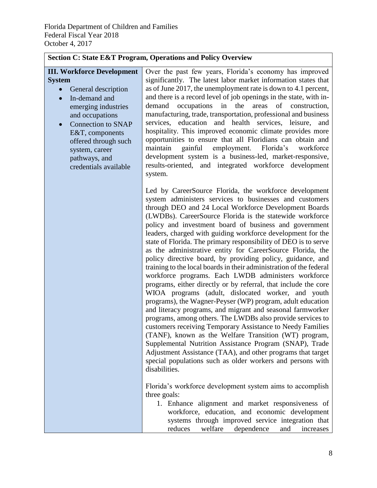| <b>Section C: State E&amp;T Program, Operations and Policy Overview</b>                                                                                                                                                                                                               |                                                                                                                                                                                                                                                                                                                                                                                                                                                                                                                                                                                                                                                                                                                                                                                                                                                                                                                                                                                                                                                                                                                                                                                                                                                                                                                                                                                                                                                                                                                                                                                                                                                  |  |
|---------------------------------------------------------------------------------------------------------------------------------------------------------------------------------------------------------------------------------------------------------------------------------------|--------------------------------------------------------------------------------------------------------------------------------------------------------------------------------------------------------------------------------------------------------------------------------------------------------------------------------------------------------------------------------------------------------------------------------------------------------------------------------------------------------------------------------------------------------------------------------------------------------------------------------------------------------------------------------------------------------------------------------------------------------------------------------------------------------------------------------------------------------------------------------------------------------------------------------------------------------------------------------------------------------------------------------------------------------------------------------------------------------------------------------------------------------------------------------------------------------------------------------------------------------------------------------------------------------------------------------------------------------------------------------------------------------------------------------------------------------------------------------------------------------------------------------------------------------------------------------------------------------------------------------------------------|--|
| <b>III. Workforce Development</b><br><b>System</b><br>General description<br>In-demand and<br>$\bullet$<br>emerging industries<br>and occupations<br><b>Connection to SNAP</b><br>E&T, components<br>offered through such<br>system, career<br>pathways, and<br>credentials available | Over the past few years, Florida's economy has improved<br>significantly. The latest labor market information states that<br>as of June 2017, the unemployment rate is down to 4.1 percent,<br>and there is a record level of job openings in the state, with in-<br>occupations<br>in<br>the<br>areas<br>of<br>construction,<br>demand<br>manufacturing, trade, transportation, professional and business<br>services, education and health services, leisure,<br>and<br>hospitality. This improved economic climate provides more<br>opportunities to ensure that all Floridians can obtain and<br>employment.<br>Florida's<br>gainful<br>workforce<br>maintain<br>development system is a business-led, market-responsive,<br>results-oriented, and integrated workforce development<br>system.                                                                                                                                                                                                                                                                                                                                                                                                                                                                                                                                                                                                                                                                                                                                                                                                                                               |  |
|                                                                                                                                                                                                                                                                                       | Led by CareerSource Florida, the workforce development<br>system administers services to businesses and customers<br>through DEO and 24 Local Workforce Development Boards<br>(LWDBs). CareerSource Florida is the statewide workforce<br>policy and investment board of business and government<br>leaders, charged with guiding workforce development for the<br>state of Florida. The primary responsibility of DEO is to serve<br>as the administrative entity for CareerSource Florida, the<br>policy directive board, by providing policy, guidance, and<br>training to the local boards in their administration of the federal<br>workforce programs. Each LWDB administers workforce<br>programs, either directly or by referral, that include the core<br>WIOA programs (adult, dislocated worker, and youth<br>programs), the Wagner-Peyser (WP) program, adult education<br>and literacy programs, and migrant and seasonal farmworker<br>programs, among others. The LWDBs also provide services to<br>customers receiving Temporary Assistance to Needy Families<br>(TANF), known as the Welfare Transition (WT) program,<br>Supplemental Nutrition Assistance Program (SNAP), Trade<br>Adjustment Assistance (TAA), and other programs that target<br>special populations such as older workers and persons with<br>disabilities.<br>Florida's workforce development system aims to accomplish<br>three goals:<br>1. Enhance alignment and market responsiveness of<br>workforce, education, and economic development<br>systems through improved service integration that<br>reduces<br>welfare<br>dependence<br>and<br>increases |  |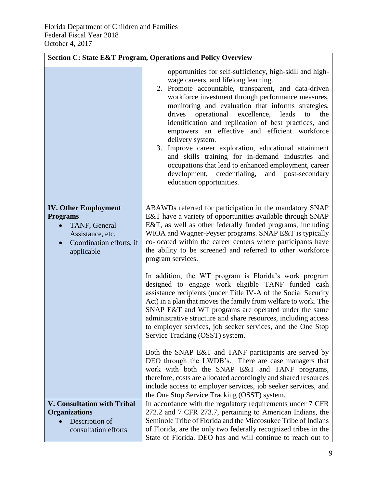| <b>Section C: State E&amp;T Program, Operations and Policy Overview</b>                                                       |                                                                                                                                                                                                                                                                                                                                                                                                                                                                                                                                                                                                                                                                                                                                                                                                                                                                                |  |
|-------------------------------------------------------------------------------------------------------------------------------|--------------------------------------------------------------------------------------------------------------------------------------------------------------------------------------------------------------------------------------------------------------------------------------------------------------------------------------------------------------------------------------------------------------------------------------------------------------------------------------------------------------------------------------------------------------------------------------------------------------------------------------------------------------------------------------------------------------------------------------------------------------------------------------------------------------------------------------------------------------------------------|--|
|                                                                                                                               | opportunities for self-sufficiency, high-skill and high-<br>wage careers, and lifelong learning.<br>Promote accountable, transparent, and data-driven<br>2.<br>workforce investment through performance measures,<br>monitoring and evaluation that informs strategies,<br>drives<br>operational<br>excellence,<br>leads<br>the<br>to<br>identification and replication of best practices, and<br>empowers an effective and efficient workforce<br>delivery system.<br>Improve career exploration, educational attainment<br>3.<br>and skills training for in-demand industries and<br>occupations that lead to enhanced employment, career<br>development,<br>credentialing,<br>and post-secondary<br>education opportunities.                                                                                                                                                |  |
| <b>IV. Other Employment</b><br><b>Programs</b><br>TANF, General<br>Assistance, etc.<br>Coordination efforts, if<br>applicable | ABAWDs referred for participation in the mandatory SNAP<br>E&T have a variety of opportunities available through SNAP<br>E&T, as well as other federally funded programs, including<br>WIOA and Wagner-Peyser programs. SNAP E&T is typically<br>co-located within the career centers where participants have<br>the ability to be screened and referred to other workforce<br>program services.<br>In addition, the WT program is Florida's work program<br>designed to engage work eligible TANF funded cash<br>assistance recipients (under Title IV-A of the Social Security<br>Act) in a plan that moves the family from welfare to work. The<br>SNAP E&T and WT programs are operated under the same<br>administrative structure and share resources, including access<br>to employer services, job seeker services, and the One Stop<br>Service Tracking (OSST) system. |  |
|                                                                                                                               | Both the SNAP E&T and TANF participants are served by<br>DEO through the LWDB's. There are case managers that<br>work with both the SNAP E&T and TANF programs,<br>therefore, costs are allocated accordingly and shared resources<br>include access to employer services, job seeker services, and<br>the One Stop Service Tracking (OSST) system.                                                                                                                                                                                                                                                                                                                                                                                                                                                                                                                            |  |
| <b>V. Consultation with Tribal</b><br><b>Organizations</b><br>Description of<br>consultation efforts                          | In accordance with the regulatory requirements under 7 CFR<br>272.2 and 7 CFR 273.7, pertaining to American Indians, the<br>Seminole Tribe of Florida and the Miccosukee Tribe of Indians<br>of Florida, are the only two federally recognized tribes in the<br>State of Florida. DEO has and will continue to reach out to                                                                                                                                                                                                                                                                                                                                                                                                                                                                                                                                                    |  |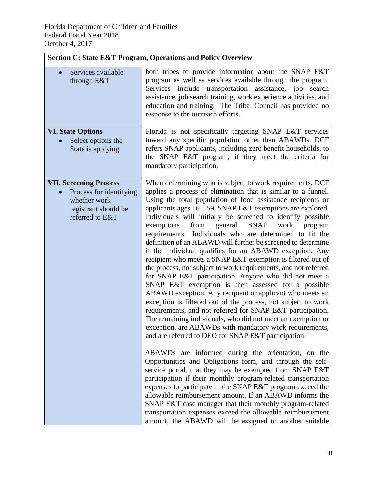| <b>Section C: State E&amp;T Program, Operations and Policy Overview</b> |                                                                                                                                                                                                                                                                                                                                                      |  |
|-------------------------------------------------------------------------|------------------------------------------------------------------------------------------------------------------------------------------------------------------------------------------------------------------------------------------------------------------------------------------------------------------------------------------------------|--|
| Services available<br>$\bullet$<br>through $E&T$                        | both tribes to provide information about the SNAP E&T<br>program as well as services available through the program.<br>Services include transportation assistance, job search<br>assistance, job search training, work experience activities, and<br>education and training. The Tribal Council has provided no<br>response to the outreach efforts. |  |
| <b>VI. State Options</b>                                                | Florida is not specifically targeting SNAP E&T services                                                                                                                                                                                                                                                                                              |  |
| Select options the<br>State is applying                                 | toward any specific population other than ABAWDs. DCF<br>refers SNAP applicants, including zero benefit households, to<br>the SNAP E&T program, if they meet the criteria for<br>mandatory participation.                                                                                                                                            |  |
| <b>VII. Screening Process</b><br>Process for identifying                | When determining who is subject to work requirements, DCF<br>applies a process of elimination that is similar to a funnel.                                                                                                                                                                                                                           |  |
| whether work                                                            | Using the total population of food assistance recipients or                                                                                                                                                                                                                                                                                          |  |
| registrant should be                                                    | applicants ages $16 - 59$ , SNAP E&T exemptions are explored.                                                                                                                                                                                                                                                                                        |  |
| referred to E&T                                                         | Individuals will initially be screened to identify possible<br><b>SNAP</b><br>exemptions<br>from<br>general<br>work<br>program                                                                                                                                                                                                                       |  |
|                                                                         | requirements. Individuals who are determined to fit the                                                                                                                                                                                                                                                                                              |  |
|                                                                         | definition of an ABAWD will further be screened to determine<br>if the individual qualifies for an ABAWD exception. Any                                                                                                                                                                                                                              |  |
|                                                                         | recipient who meets a SNAP E&T exemption is filtered out of                                                                                                                                                                                                                                                                                          |  |
|                                                                         | the process, not subject to work requirements, and not referred<br>for SNAP E&T participation. Anyone who did not meet a                                                                                                                                                                                                                             |  |
|                                                                         | SNAP E&T exemption is then assessed for a possible                                                                                                                                                                                                                                                                                                   |  |
|                                                                         | ABAWD exception. Any recipient or applicant who meets an<br>exception is filtered out of the process, not subject to work                                                                                                                                                                                                                            |  |
|                                                                         | requirements, and not referred for SNAP E&T participation.                                                                                                                                                                                                                                                                                           |  |
|                                                                         | The remaining individuals, who did not meet an exemption or<br>exception, are ABAWDs with mandatory work requirements,                                                                                                                                                                                                                               |  |
|                                                                         | and are referred to DEO for SNAP E&T participation.                                                                                                                                                                                                                                                                                                  |  |
|                                                                         | ABAWDs are informed during the orientation, on the                                                                                                                                                                                                                                                                                                   |  |
|                                                                         | Opportunities and Obligations form, and through the self-<br>service portal, that they may be exempted from SNAP E&T                                                                                                                                                                                                                                 |  |
|                                                                         | participation if their monthly program-related transportation                                                                                                                                                                                                                                                                                        |  |
|                                                                         | expenses to participate in the SNAP E&T program exceed the<br>allowable reimbursement amount. If an ABAWD informs the                                                                                                                                                                                                                                |  |
|                                                                         | SNAP E&T case manager that their monthly program-related                                                                                                                                                                                                                                                                                             |  |
|                                                                         | transportation expenses exceed the allowable reimbursement<br>amount, the ABAWD will be assigned to another suitable                                                                                                                                                                                                                                 |  |
|                                                                         |                                                                                                                                                                                                                                                                                                                                                      |  |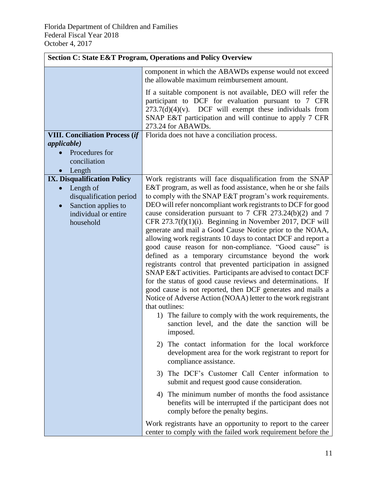| <b>Section C: State E&amp;T Program, Operations and Policy Overview</b>                                                                                          |                                                                                                                                                                                                                                                                                                                                                                                                                                                                                                                                                                                                                                                                                                                                                                                                                                                                                                                                                                                                                                                                                                             |  |
|------------------------------------------------------------------------------------------------------------------------------------------------------------------|-------------------------------------------------------------------------------------------------------------------------------------------------------------------------------------------------------------------------------------------------------------------------------------------------------------------------------------------------------------------------------------------------------------------------------------------------------------------------------------------------------------------------------------------------------------------------------------------------------------------------------------------------------------------------------------------------------------------------------------------------------------------------------------------------------------------------------------------------------------------------------------------------------------------------------------------------------------------------------------------------------------------------------------------------------------------------------------------------------------|--|
|                                                                                                                                                                  | component in which the ABAWDs expense would not exceed<br>the allowable maximum reimbursement amount.                                                                                                                                                                                                                                                                                                                                                                                                                                                                                                                                                                                                                                                                                                                                                                                                                                                                                                                                                                                                       |  |
|                                                                                                                                                                  | If a suitable component is not available, DEO will refer the<br>participant to DCF for evaluation pursuant to 7 CFR<br>$273.7(d)(4)(v)$ . DCF will exempt these individuals from<br>SNAP E&T participation and will continue to apply 7 CFR<br>273.24 for ABAWDs.                                                                                                                                                                                                                                                                                                                                                                                                                                                                                                                                                                                                                                                                                                                                                                                                                                           |  |
| <b>VIII. Conciliation Process (if</b>                                                                                                                            | Florida does not have a conciliation process.                                                                                                                                                                                                                                                                                                                                                                                                                                                                                                                                                                                                                                                                                                                                                                                                                                                                                                                                                                                                                                                               |  |
| <i>applicable</i> )<br>Procedures for<br>conciliation<br>Length                                                                                                  |                                                                                                                                                                                                                                                                                                                                                                                                                                                                                                                                                                                                                                                                                                                                                                                                                                                                                                                                                                                                                                                                                                             |  |
| <b>IX.</b> Disqualification Policy<br>Length of<br>$\bullet$<br>disqualification period<br>Sanction applies to<br>$\bullet$<br>individual or entire<br>household | Work registrants will face disqualification from the SNAP<br>E&T program, as well as food assistance, when he or she fails<br>to comply with the SNAP E&T program's work requirements.<br>DEO will refer noncompliant work registrants to DCF for good<br>cause consideration pursuant to 7 CFR 273.24(b)(2) and 7<br>CFR $273.7(f)(1)(i)$ . Beginning in November 2017, DCF will<br>generate and mail a Good Cause Notice prior to the NOAA,<br>allowing work registrants 10 days to contact DCF and report a<br>good cause reason for non-compliance. "Good cause" is<br>defined as a temporary circumstance beyond the work<br>registrants control that prevented participation in assigned<br>SNAP E&T activities. Participants are advised to contact DCF<br>for the status of good cause reviews and determinations. If<br>good cause is not reported, then DCF generates and mails a<br>Notice of Adverse Action (NOAA) letter to the work registrant<br>that outlines:<br>1) The failure to comply with the work requirements, the<br>sanction level, and the date the sanction will be<br>imposed. |  |
|                                                                                                                                                                  | The contact information for the local workforce<br>2)<br>development area for the work registrant to report for<br>compliance assistance.                                                                                                                                                                                                                                                                                                                                                                                                                                                                                                                                                                                                                                                                                                                                                                                                                                                                                                                                                                   |  |
|                                                                                                                                                                  | The DCF's Customer Call Center information to<br>3)<br>submit and request good cause consideration.                                                                                                                                                                                                                                                                                                                                                                                                                                                                                                                                                                                                                                                                                                                                                                                                                                                                                                                                                                                                         |  |
|                                                                                                                                                                  | The minimum number of months the food assistance<br>4)<br>benefits will be interrupted if the participant does not<br>comply before the penalty begins.                                                                                                                                                                                                                                                                                                                                                                                                                                                                                                                                                                                                                                                                                                                                                                                                                                                                                                                                                     |  |
|                                                                                                                                                                  | Work registrants have an opportunity to report to the career<br>center to comply with the failed work requirement before the                                                                                                                                                                                                                                                                                                                                                                                                                                                                                                                                                                                                                                                                                                                                                                                                                                                                                                                                                                                |  |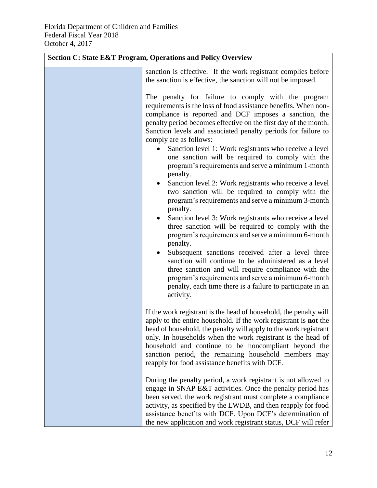| <b>Section C: State E&amp;T Program, Operations and Policy Overview</b> |                                                                                                                                                                                                                                                                                                                                                                                                                                                                                                                                                                                                                                                                                                                                                                                                                                                                                                                                                                                                                                                                                                                                                                                                                                             |  |
|-------------------------------------------------------------------------|---------------------------------------------------------------------------------------------------------------------------------------------------------------------------------------------------------------------------------------------------------------------------------------------------------------------------------------------------------------------------------------------------------------------------------------------------------------------------------------------------------------------------------------------------------------------------------------------------------------------------------------------------------------------------------------------------------------------------------------------------------------------------------------------------------------------------------------------------------------------------------------------------------------------------------------------------------------------------------------------------------------------------------------------------------------------------------------------------------------------------------------------------------------------------------------------------------------------------------------------|--|
|                                                                         | sanction is effective. If the work registrant complies before<br>the sanction is effective, the sanction will not be imposed.                                                                                                                                                                                                                                                                                                                                                                                                                                                                                                                                                                                                                                                                                                                                                                                                                                                                                                                                                                                                                                                                                                               |  |
|                                                                         | The penalty for failure to comply with the program<br>requirements is the loss of food assistance benefits. When non-<br>compliance is reported and DCF imposes a sanction, the<br>penalty period becomes effective on the first day of the month.<br>Sanction levels and associated penalty periods for failure to<br>comply are as follows:<br>Sanction level 1: Work registrants who receive a level<br>$\bullet$<br>one sanction will be required to comply with the<br>program's requirements and serve a minimum 1-month<br>penalty.<br>Sanction level 2: Work registrants who receive a level<br>two sanction will be required to comply with the<br>program's requirements and serve a minimum 3-month<br>penalty.<br>Sanction level 3: Work registrants who receive a level<br>$\bullet$<br>three sanction will be required to comply with the<br>program's requirements and serve a minimum 6-month<br>penalty.<br>Subsequent sanctions received after a level three<br>$\bullet$<br>sanction will continue to be administered as a level<br>three sanction and will require compliance with the<br>program's requirements and serve a minimum 6-month<br>penalty, each time there is a failure to participate in an<br>activity. |  |
|                                                                         | If the work registrant is the head of household, the penalty will<br>apply to the entire household. If the work registrant is not the<br>head of household, the penalty will apply to the work registrant<br>only. In households when the work registrant is the head of<br>household and continue to be noncompliant beyond the<br>sanction period, the remaining household members may<br>reapply for food assistance benefits with DCF.                                                                                                                                                                                                                                                                                                                                                                                                                                                                                                                                                                                                                                                                                                                                                                                                  |  |
|                                                                         | During the penalty period, a work registrant is not allowed to<br>engage in SNAP E&T activities. Once the penalty period has<br>been served, the work registrant must complete a compliance<br>activity, as specified by the LWDB, and then reapply for food<br>assistance benefits with DCF. Upon DCF's determination of<br>the new application and work registrant status, DCF will refer                                                                                                                                                                                                                                                                                                                                                                                                                                                                                                                                                                                                                                                                                                                                                                                                                                                 |  |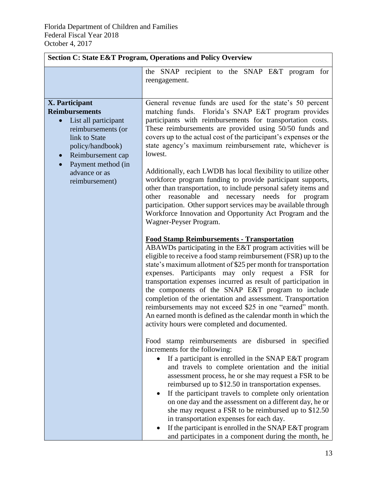|                                                                                                                                                                                                                              | <b>Section C: State E&amp;T Program, Operations and Policy Overview</b>                                                                                                                                                                                                                                                                                                                                                                                                                                                                                                                                                                                                        |  |  |
|------------------------------------------------------------------------------------------------------------------------------------------------------------------------------------------------------------------------------|--------------------------------------------------------------------------------------------------------------------------------------------------------------------------------------------------------------------------------------------------------------------------------------------------------------------------------------------------------------------------------------------------------------------------------------------------------------------------------------------------------------------------------------------------------------------------------------------------------------------------------------------------------------------------------|--|--|
|                                                                                                                                                                                                                              | the SNAP recipient to the SNAP E&T program for<br>reengagement.                                                                                                                                                                                                                                                                                                                                                                                                                                                                                                                                                                                                                |  |  |
| <b>X.</b> Participant<br><b>Reimbursements</b><br>List all participant<br>reimbursements (or<br>link to State<br>policy/handbook)<br>Reimbursement cap<br>$\bullet$<br>Payment method (in<br>advance or as<br>reimbursement) | General revenue funds are used for the state's 50 percent<br>matching funds. Florida's SNAP E&T program provides<br>participants with reimbursements for transportation costs.<br>These reimbursements are provided using 50/50 funds and<br>covers up to the actual cost of the participant's expenses or the<br>state agency's maximum reimbursement rate, whichever is<br>lowest.<br>Additionally, each LWDB has local flexibility to utilize other<br>workforce program funding to provide participant supports,<br>other than transportation, to include personal safety items and                                                                                        |  |  |
|                                                                                                                                                                                                                              | other reasonable and necessary needs for program<br>participation. Other support services may be available through<br>Workforce Innovation and Opportunity Act Program and the<br>Wagner-Peyser Program.                                                                                                                                                                                                                                                                                                                                                                                                                                                                       |  |  |
|                                                                                                                                                                                                                              | <b>Food Stamp Reimbursements - Transportation</b><br>ABAWDs participating in the E&T program activities will be<br>eligible to receive a food stamp reimbursement (FSR) up to the<br>state's maximum allotment of \$25 per month for transportation<br>expenses. Participants may only request a FSR for<br>transportation expenses incurred as result of participation in<br>the components of the SNAP E&T program to include<br>completion of the orientation and assessment. Transportation<br>reimbursements may not exceed \$25 in one "earned" month.<br>An earned month is defined as the calendar month in which the<br>activity hours were completed and documented. |  |  |
|                                                                                                                                                                                                                              | Food stamp reimbursements are disbursed in specified<br>increments for the following:<br>If a participant is enrolled in the SNAP E&T program<br>$\bullet$<br>and travels to complete orientation and the initial<br>assessment process, he or she may request a FSR to be                                                                                                                                                                                                                                                                                                                                                                                                     |  |  |
|                                                                                                                                                                                                                              | reimbursed up to \$12.50 in transportation expenses.<br>If the participant travels to complete only orientation<br>on one day and the assessment on a different day, he or<br>she may request a FSR to be reimbursed up to \$12.50<br>in transportation expenses for each day.<br>If the participant is enrolled in the SNAP E&T program<br>and participates in a component during the month, he                                                                                                                                                                                                                                                                               |  |  |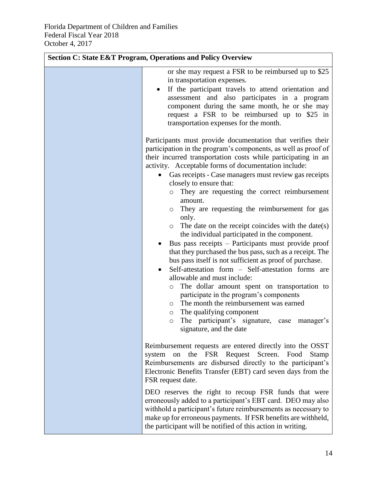| <b>Section C: State E&amp;T Program, Operations and Policy Overview</b>                                                                                                                                                                                                                                                                                                                                                                                                                                                                                                                                                                                                                                                                                                                                                                                                                                                                                                                                                                                                                                                                                                                                                                                                                                                                                                                                                                                                                                                  |  |  |  |  |
|--------------------------------------------------------------------------------------------------------------------------------------------------------------------------------------------------------------------------------------------------------------------------------------------------------------------------------------------------------------------------------------------------------------------------------------------------------------------------------------------------------------------------------------------------------------------------------------------------------------------------------------------------------------------------------------------------------------------------------------------------------------------------------------------------------------------------------------------------------------------------------------------------------------------------------------------------------------------------------------------------------------------------------------------------------------------------------------------------------------------------------------------------------------------------------------------------------------------------------------------------------------------------------------------------------------------------------------------------------------------------------------------------------------------------------------------------------------------------------------------------------------------------|--|--|--|--|
| or she may request a FSR to be reimbursed up to \$25<br>in transportation expenses.<br>If the participant travels to attend orientation and<br>assessment and also participates in a program<br>component during the same month, he or she may<br>request a FSR to be reimbursed up to \$25 in<br>transportation expenses for the month.<br>Participants must provide documentation that verifies their<br>participation in the program's components, as well as proof of<br>their incurred transportation costs while participating in an<br>activity. Acceptable forms of documentation include:<br>Gas receipts - Case managers must review gas receipts<br>closely to ensure that:<br>They are requesting the correct reimbursement<br>$\circ$<br>amount.<br>They are requesting the reimbursement for gas<br>$\circ$<br>only.<br>The date on the receipt coincides with the date(s)<br>$\circ$<br>the individual participated in the component.<br>Bus pass receipts – Participants must provide proof<br>that they purchased the bus pass, such as a receipt. The<br>bus pass itself is not sufficient as proof of purchase.<br>Self-attestation form - Self-attestation forms are<br>$\bullet$<br>allowable and must include:<br>The dollar amount spent on transportation to<br>$\circ$<br>participate in the program's components<br>The month the reimbursement was earned<br>O<br>The qualifying component<br>$\circ$<br>The participant's signature, case<br>manager's<br>$\circ$<br>signature, and the date |  |  |  |  |
| Reimbursement requests are entered directly into the OSST<br>the FSR Request Screen.<br>system<br>Food<br>on<br><b>Stamp</b><br>Reimbursements are disbursed directly to the participant's<br>Electronic Benefits Transfer (EBT) card seven days from the<br>FSR request date.<br>DEO reserves the right to recoup FSR funds that were<br>erroneously added to a participant's EBT card. DEO may also<br>withhold a participant's future reimbursements as necessary to<br>make up for erroneous payments. If FSR benefits are withheld,<br>the participant will be notified of this action in writing.                                                                                                                                                                                                                                                                                                                                                                                                                                                                                                                                                                                                                                                                                                                                                                                                                                                                                                                  |  |  |  |  |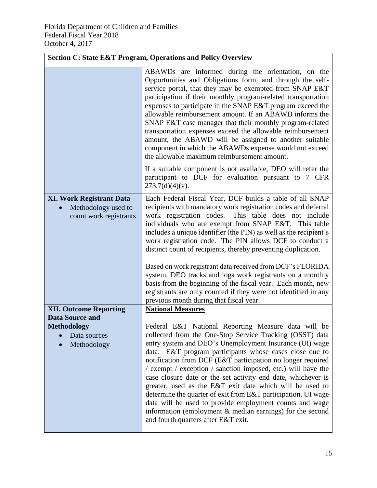|                                                                                                              | <b>Section C: State E&amp;T Program, Operations and Policy Overview</b>                                                                                                                                                                                                                                                                                                                                                                                                                                                                                                                                                                                                                                                                                      |
|--------------------------------------------------------------------------------------------------------------|--------------------------------------------------------------------------------------------------------------------------------------------------------------------------------------------------------------------------------------------------------------------------------------------------------------------------------------------------------------------------------------------------------------------------------------------------------------------------------------------------------------------------------------------------------------------------------------------------------------------------------------------------------------------------------------------------------------------------------------------------------------|
|                                                                                                              | ABAWDs are informed during the orientation, on the<br>Opportunities and Obligations form, and through the self-<br>service portal, that they may be exempted from SNAP E&T<br>participation if their monthly program-related transportation<br>expenses to participate in the SNAP E&T program exceed the<br>allowable reimbursement amount. If an ABAWD informs the<br>SNAP E&T case manager that their monthly program-related<br>transportation expenses exceed the allowable reimbursement<br>amount, the ABAWD will be assigned to another suitable<br>component in which the ABAWDs expense would not exceed<br>the allowable maximum reimbursement amount.                                                                                            |
|                                                                                                              | If a suitable component is not available, DEO will refer the<br>participant to DCF for evaluation pursuant to 7 CFR<br>$273.7(d)(4)(v)$ .                                                                                                                                                                                                                                                                                                                                                                                                                                                                                                                                                                                                                    |
| <b>XI. Work Registrant Data</b><br>Methodology used to<br>count work registrants                             | Each Federal Fiscal Year, DCF builds a table of all SNAP<br>recipients with mandatory work registration codes and deferral<br>work registration codes. This table does not include<br>individuals who are exempt from SNAP E&T. This table<br>includes a unique identifier (the PIN) as well as the recipient's<br>work registration code. The PIN allows DCF to conduct a<br>distinct count of recipients, thereby preventing duplication.<br>Based on work registrant data received from DCF's FLORIDA<br>system, DEO tracks and logs work registrants on a monthly<br>basis from the beginning of the fiscal year. Each month, new<br>registrants are only counted if they were not identified in any<br>previous month during that fiscal year.          |
| <b>XII. Outcome Reporting</b><br><b>Data Source and</b><br><b>Methodology</b><br>Data sources<br>Methodology | <b>National Measures</b><br>Federal E&T National Reporting Measure data will be<br>collected from the One-Stop Service Tracking (OSST) data<br>entry system and DEO's Unemployment Insurance (UI) wage<br>data. E&T program participants whose cases close due to<br>notification from DCF (E&T participation no longer required<br>/ exempt / exception / sanction imposed, etc.) will have the<br>case closure date or the set activity end date, whichever is<br>greater, used as the E&T exit date which will be used to<br>determine the quarter of exit from E&T participation. UI wage<br>data will be used to provide employment counts and wage<br>information (employment & median earnings) for the second<br>and fourth quarters after E&T exit. |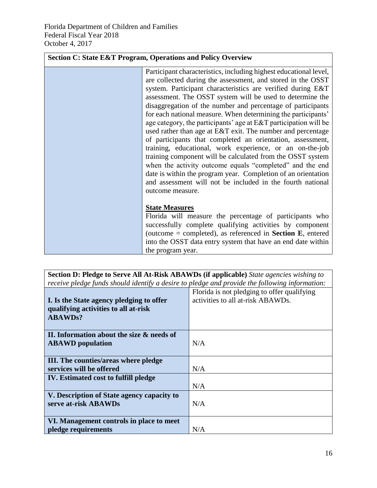Ē

| <b>Section C: State E&amp;T Program, Operations and Policy Overview</b>                                                                                                                                                                                                                                                                                                                                                                                                                                                                                                                                                                                                                                                                                                                                                                              |
|------------------------------------------------------------------------------------------------------------------------------------------------------------------------------------------------------------------------------------------------------------------------------------------------------------------------------------------------------------------------------------------------------------------------------------------------------------------------------------------------------------------------------------------------------------------------------------------------------------------------------------------------------------------------------------------------------------------------------------------------------------------------------------------------------------------------------------------------------|
| Participant characteristics, including highest educational level,<br>are collected during the assessment, and stored in the OSST<br>system. Participant characteristics are verified during E&T<br>assessment. The OSST system will be used to determine the<br>disaggregation of the number and percentage of participants<br>for each national measure. When determining the participants'<br>age category, the participants' age at E&T participation will be<br>used rather than age at E&T exit. The number and percentage<br>of participants that completed an orientation, assessment,<br>training, educational, work experience, or an on-the-job<br>training component will be calculated from the OSST system<br>when the activity outcome equals "completed" and the end<br>date is within the program year. Completion of an orientation |
| and assessment will not be included in the fourth national<br>outcome measure.<br><b>State Measures</b><br>Florida will measure the percentage of participants who<br>successfully complete qualifying activities by component<br>(outcome = completed), as referenced in <b>Section E</b> , entered<br>into the OSST data entry system that have an end date within<br>the program year.                                                                                                                                                                                                                                                                                                                                                                                                                                                            |

<span id="page-16-0"></span>

| Section D: Pledge to Serve All At-Risk ABAWDs (if applicable) State agencies wishing to        |                                   |  |  |  |
|------------------------------------------------------------------------------------------------|-----------------------------------|--|--|--|
| receive pledge funds should identify a desire to pledge and provide the following information: |                                   |  |  |  |
| Florida is not pledging to offer qualifying                                                    |                                   |  |  |  |
| I. Is the State agency pledging to offer                                                       | activities to all at-risk ABAWDs. |  |  |  |
| qualifying activities to all at-risk                                                           |                                   |  |  |  |
| <b>ABAWDs?</b>                                                                                 |                                   |  |  |  |
|                                                                                                |                                   |  |  |  |
| II. Information about the size & needs of                                                      |                                   |  |  |  |
| <b>ABAWD</b> population                                                                        | N/A                               |  |  |  |
|                                                                                                |                                   |  |  |  |
| III. The counties/areas where pledge                                                           |                                   |  |  |  |
| services will be offered                                                                       | N/A                               |  |  |  |
| IV. Estimated cost to fulfill pledge                                                           |                                   |  |  |  |
|                                                                                                | N/A                               |  |  |  |
| V. Description of State agency capacity to                                                     |                                   |  |  |  |
| serve at-risk ABAWDs                                                                           | N/A                               |  |  |  |
|                                                                                                |                                   |  |  |  |
| VI. Management controls in place to meet                                                       |                                   |  |  |  |
| pledge requirements                                                                            | N/A                               |  |  |  |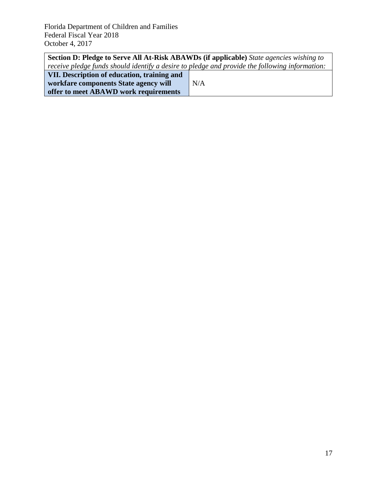| <b>Section D: Pledge to Serve All At-Risk ABAWDs (if applicable)</b> State agencies wishing to |     |  |  |  |
|------------------------------------------------------------------------------------------------|-----|--|--|--|
| receive pledge funds should identify a desire to pledge and provide the following information: |     |  |  |  |
| VII. Description of education, training and                                                    |     |  |  |  |
| workfare components State agency will                                                          | N/A |  |  |  |
| offer to meet ABAWD work requirements                                                          |     |  |  |  |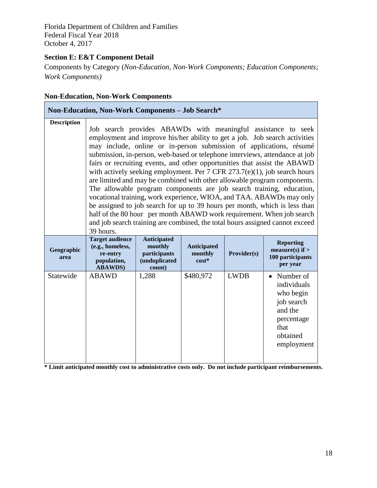## <span id="page-18-0"></span>**Section E: E&T Component Detail**

Components by Category (*Non-Education, Non-Work Components; Education Components; Work Components)*

| <b>Non-Education, Non-Work Components</b> |
|-------------------------------------------|
|-------------------------------------------|

| <b>Non-Education, Non-Work Components - Job Search*</b> |                                                                                                                                                                                                                                                                                                                                                                                                                                                                                                                                                                                                                                                                                                                                                                                                                                                                                                                                                  |                                                                |                                          |             |                                       |
|---------------------------------------------------------|--------------------------------------------------------------------------------------------------------------------------------------------------------------------------------------------------------------------------------------------------------------------------------------------------------------------------------------------------------------------------------------------------------------------------------------------------------------------------------------------------------------------------------------------------------------------------------------------------------------------------------------------------------------------------------------------------------------------------------------------------------------------------------------------------------------------------------------------------------------------------------------------------------------------------------------------------|----------------------------------------------------------------|------------------------------------------|-------------|---------------------------------------|
| <b>Description</b>                                      | Job search provides ABAWDs with meaningful assistance to seek<br>employment and improve his/her ability to get a job. Job search activities<br>may include, online or in-person submission of applications, résumé<br>submission, in-person, web-based or telephone interviews, attendance at job<br>fairs or recruiting events, and other opportunities that assist the ABAWD<br>with actively seeking employment. Per $7$ CFR $273.7(e)(1)$ , job search hours<br>are limited and may be combined with other allowable program components.<br>The allowable program components are job search training, education,<br>vocational training, work experience, WIOA, and TAA. ABAWDs may only<br>be assigned to job search for up to 39 hours per month, which is less than<br>half of the 80 hour per month ABAWD work requirement. When job search<br>and job search training are combined, the total hours assigned cannot exceed<br>39 hours. |                                                                |                                          |             |                                       |
| Geographic<br>area                                      | <b>Target audience</b><br>(e.g., homeless,<br>re-entry<br>population,<br><b>ABAWDS</b> )                                                                                                                                                                                                                                                                                                                                                                                                                                                                                                                                                                                                                                                                                                                                                                                                                                                         | <b>Anticipated</b><br>monthly<br>participants<br>(unduplicated | <b>Anticipated</b><br>monthly<br>$cost*$ | Provider(s) | <b>Reporting</b><br>measure(s) if $>$ |
| Statewide                                               |                                                                                                                                                                                                                                                                                                                                                                                                                                                                                                                                                                                                                                                                                                                                                                                                                                                                                                                                                  | count)                                                         |                                          |             | 100 participants<br>per year          |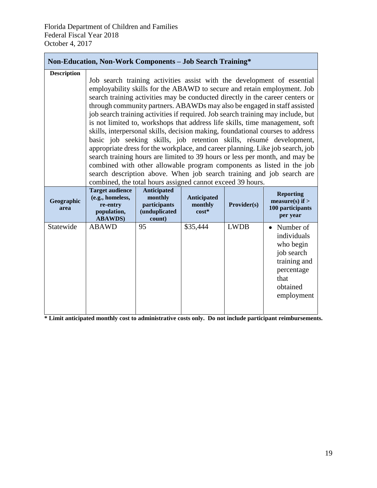## **Non-Education, Non-Work Components – Job Search Training\***

| <b>Description</b> |
|--------------------|
|--------------------|

Job search training activities assist with the development of essential employability skills for the ABAWD to secure and retain employment. Job search training activities may be conducted directly in the career centers or through community partners. ABAWDs may also be engaged in staff assisted job search training activities if required. Job search training may include, but is not limited to, workshops that address life skills, time management, soft skills, interpersonal skills, decision making, foundational courses to address basic job seeking skills, job retention skills, résumé development, appropriate dress for the workplace, and career planning. Like job search, job search training hours are limited to 39 hours or less per month, and may be combined with other allowable program components as listed in the job search description above. When job search training and job search are combined, the total hours assigned cannot exceed 39 hours.

| Geographic<br>area | <b>Target audience</b><br>(e.g., homeless,<br>re-entry<br>population,<br><b>ABAWDS</b> ) | <b>Anticipated</b><br>monthly<br>participants<br>(unduplicated<br>count) | <b>Anticipated</b><br>monthly<br>$cost*$ | <b>Provider(s)</b> | <b>Reporting</b><br>measure(s) if $>$<br>100 participants<br>per year                                                 |
|--------------------|------------------------------------------------------------------------------------------|--------------------------------------------------------------------------|------------------------------------------|--------------------|-----------------------------------------------------------------------------------------------------------------------|
| Statewide          | <b>ABAWD</b>                                                                             | 95                                                                       | \$35,444                                 | <b>LWDB</b>        | • Number of<br>individuals<br>who begin<br>job search<br>training and<br>percentage<br>that<br>obtained<br>employment |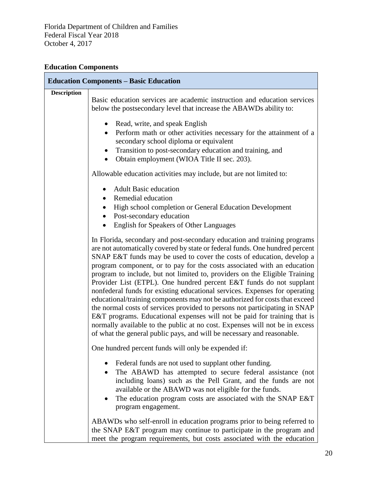# **Education Components**

|                    | <b>Education Components - Basic Education</b>                                                                                                                                                                                                                                                                                                                                                                                                                                                                                                                                                                                                                                                                                                                                                                                                                                                                                                     |
|--------------------|---------------------------------------------------------------------------------------------------------------------------------------------------------------------------------------------------------------------------------------------------------------------------------------------------------------------------------------------------------------------------------------------------------------------------------------------------------------------------------------------------------------------------------------------------------------------------------------------------------------------------------------------------------------------------------------------------------------------------------------------------------------------------------------------------------------------------------------------------------------------------------------------------------------------------------------------------|
| <b>Description</b> | Basic education services are academic instruction and education services<br>below the postsecondary level that increase the ABAWDs ability to:                                                                                                                                                                                                                                                                                                                                                                                                                                                                                                                                                                                                                                                                                                                                                                                                    |
|                    | Read, write, and speak English<br>Perform math or other activities necessary for the attainment of a<br>$\bullet$<br>secondary school diploma or equivalent<br>Transition to post-secondary education and training, and<br>Obtain employment (WIOA Title II sec. 203).<br>$\bullet$                                                                                                                                                                                                                                                                                                                                                                                                                                                                                                                                                                                                                                                               |
|                    | Allowable education activities may include, but are not limited to:                                                                                                                                                                                                                                                                                                                                                                                                                                                                                                                                                                                                                                                                                                                                                                                                                                                                               |
|                    | <b>Adult Basic education</b><br>$\bullet$<br>Remedial education<br>$\bullet$<br>High school completion or General Education Development<br>$\bullet$<br>Post-secondary education<br>$\bullet$<br><b>English for Speakers of Other Languages</b><br>$\bullet$                                                                                                                                                                                                                                                                                                                                                                                                                                                                                                                                                                                                                                                                                      |
|                    | In Florida, secondary and post-secondary education and training programs<br>are not automatically covered by state or federal funds. One hundred percent<br>SNAP E&T funds may be used to cover the costs of education, develop a<br>program component, or to pay for the costs associated with an education<br>program to include, but not limited to, providers on the Eligible Training<br>Provider List (ETPL). One hundred percent E&T funds do not supplant<br>nonfederal funds for existing educational services. Expenses for operating<br>educational/training components may not be authorized for costs that exceed<br>the normal costs of services provided to persons not participating in SNAP<br>E&T programs. Educational expenses will not be paid for training that is<br>normally available to the public at no cost. Expenses will not be in excess<br>of what the general public pays, and will be necessary and reasonable. |
|                    | One hundred percent funds will only be expended if:<br>Federal funds are not used to supplant other funding.<br>The ABAWD has attempted to secure federal assistance (not<br>including loans) such as the Pell Grant, and the funds are not                                                                                                                                                                                                                                                                                                                                                                                                                                                                                                                                                                                                                                                                                                       |
|                    | available or the ABAWD was not eligible for the funds.<br>The education program costs are associated with the SNAP E&T<br>program engagement.                                                                                                                                                                                                                                                                                                                                                                                                                                                                                                                                                                                                                                                                                                                                                                                                     |
|                    | ABAWDs who self-enroll in education programs prior to being referred to<br>the SNAP E&T program may continue to participate in the program and<br>meet the program requirements, but costs associated with the education                                                                                                                                                                                                                                                                                                                                                                                                                                                                                                                                                                                                                                                                                                                          |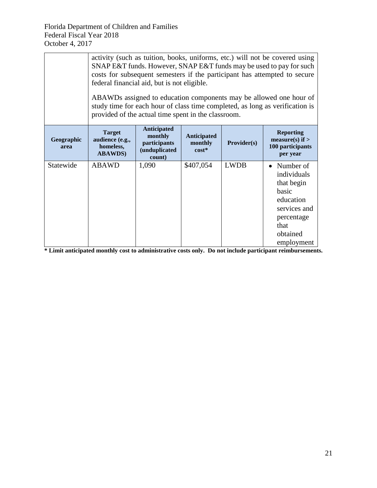|                    | activity (such as tuition, books, uniforms, etc.) will not be covered using<br>SNAP E&T funds. However, SNAP E&T funds may be used to pay for such<br>costs for subsequent semesters if the participant has attempted to secure<br>federal financial aid, but is not eligible.<br>ABAWDs assigned to education components may be allowed one hour of<br>study time for each hour of class time completed, as long as verification is<br>provided of the actual time spent in the classroom. |                                                                          |                                   |                    |                                                                                                                                |
|--------------------|---------------------------------------------------------------------------------------------------------------------------------------------------------------------------------------------------------------------------------------------------------------------------------------------------------------------------------------------------------------------------------------------------------------------------------------------------------------------------------------------|--------------------------------------------------------------------------|-----------------------------------|--------------------|--------------------------------------------------------------------------------------------------------------------------------|
| Geographic<br>area | <b>Target</b><br>audience (e.g.,<br>homeless,<br><b>ABAWDS</b> )                                                                                                                                                                                                                                                                                                                                                                                                                            | <b>Anticipated</b><br>monthly<br>participants<br>(unduplicated<br>count) | Anticipated<br>monthly<br>$cost*$ | <b>Provider(s)</b> | <b>Reporting</b><br>measure(s) if $>$<br>100 participants<br>per year                                                          |
| Statewide          | <b>ABAWD</b>                                                                                                                                                                                                                                                                                                                                                                                                                                                                                | 1,090                                                                    | \$407,054                         | <b>LWDB</b>        | • Number of<br>individuals<br>that begin<br>basic<br>education<br>services and<br>percentage<br>that<br>obtained<br>employment |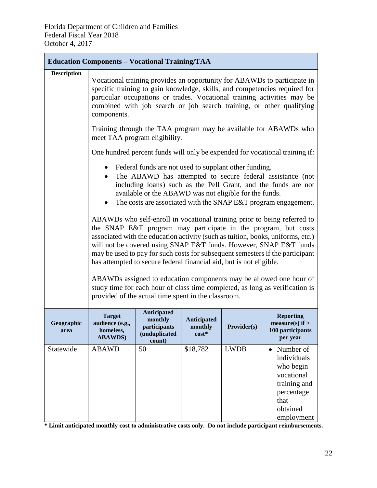|                    | <b>Education Components - Vocational Training/TAA</b>                                                                                                                                                                                                                                                                    |                                                                                                                                                                                                                                               |                                 |             |                                                                                                                                                                                                                                                                                                                                                                                                                                                                                                                                                                                                                                                                                                                                            |  |
|--------------------|--------------------------------------------------------------------------------------------------------------------------------------------------------------------------------------------------------------------------------------------------------------------------------------------------------------------------|-----------------------------------------------------------------------------------------------------------------------------------------------------------------------------------------------------------------------------------------------|---------------------------------|-------------|--------------------------------------------------------------------------------------------------------------------------------------------------------------------------------------------------------------------------------------------------------------------------------------------------------------------------------------------------------------------------------------------------------------------------------------------------------------------------------------------------------------------------------------------------------------------------------------------------------------------------------------------------------------------------------------------------------------------------------------------|--|
| Description        | Vocational training provides an opportunity for ABAWDs to participate in<br>specific training to gain knowledge, skills, and competencies required for<br>particular occupations or trades. Vocational training activities may be<br>combined with job search or job search training, or other qualifying<br>components. |                                                                                                                                                                                                                                               |                                 |             |                                                                                                                                                                                                                                                                                                                                                                                                                                                                                                                                                                                                                                                                                                                                            |  |
|                    | Training through the TAA program may be available for ABAWDs who<br>meet TAA program eligibility.                                                                                                                                                                                                                        |                                                                                                                                                                                                                                               |                                 |             |                                                                                                                                                                                                                                                                                                                                                                                                                                                                                                                                                                                                                                                                                                                                            |  |
|                    |                                                                                                                                                                                                                                                                                                                          |                                                                                                                                                                                                                                               |                                 |             | One hundred percent funds will only be expended for vocational training if:                                                                                                                                                                                                                                                                                                                                                                                                                                                                                                                                                                                                                                                                |  |
|                    |                                                                                                                                                                                                                                                                                                                          | Federal funds are not used to supplant other funding.<br>available or the ABAWD was not eligible for the funds.<br>has attempted to secure federal financial aid, but is not eligible.<br>provided of the actual time spent in the classroom. |                                 |             | The ABAWD has attempted to secure federal assistance (not<br>including loans) such as the Pell Grant, and the funds are not<br>The costs are associated with the SNAP E&T program engagement.<br>ABAWDs who self-enroll in vocational training prior to being referred to<br>the SNAP E&T program may participate in the program, but costs<br>associated with the education activity (such as tuition, books, uniforms, etc.)<br>will not be covered using SNAP E&T funds. However, SNAP E&T funds<br>may be used to pay for such costs for subsequent semesters if the participant<br>ABAWDs assigned to education components may be allowed one hour of<br>study time for each hour of class time completed, as long as verification is |  |
| Geographic<br>area | <b>Target</b><br>audience (e.g.,<br>homeless,<br><b>ABAWDS</b> )                                                                                                                                                                                                                                                         | <b>Anticipated</b><br>monthly<br>participants<br>(unduplicated<br>count)                                                                                                                                                                      | Anticipated<br>monthly<br>cost* | Provider(s) | <b>Reporting</b><br>measure(s) if $>$<br>100 participants<br>per year                                                                                                                                                                                                                                                                                                                                                                                                                                                                                                                                                                                                                                                                      |  |
| Statewide          | <b>ABAWD</b>                                                                                                                                                                                                                                                                                                             | 50                                                                                                                                                                                                                                            | \$18,782                        | <b>LWDB</b> | Number of<br>$\bullet$<br>individuals<br>who begin<br>vocational<br>training and<br>percentage<br>that<br>obtained<br>employment                                                                                                                                                                                                                                                                                                                                                                                                                                                                                                                                                                                                           |  |

**\* Limit anticipated monthly cost to administrative costs only. Do not include participant reimbursements.**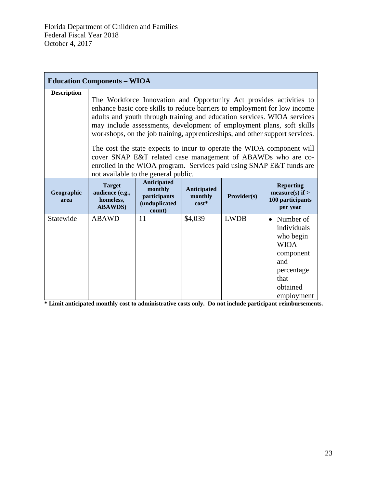| <b>Education Components – WIOA</b> |                                                                                                                                                                                                                                                                                                                                                                                                                                                                                                                                                                                                                                                |                                                                          |                                          |             |                                                                                                                            |  |
|------------------------------------|------------------------------------------------------------------------------------------------------------------------------------------------------------------------------------------------------------------------------------------------------------------------------------------------------------------------------------------------------------------------------------------------------------------------------------------------------------------------------------------------------------------------------------------------------------------------------------------------------------------------------------------------|--------------------------------------------------------------------------|------------------------------------------|-------------|----------------------------------------------------------------------------------------------------------------------------|--|
| <b>Description</b>                 | The Workforce Innovation and Opportunity Act provides activities to<br>enhance basic core skills to reduce barriers to employment for low income<br>adults and youth through training and education services. WIOA services<br>may include assessments, development of employment plans, soft skills<br>workshops, on the job training, apprenticeships, and other support services.<br>The cost the state expects to incur to operate the WIOA component will<br>cover SNAP E&T related case management of ABAWDs who are co-<br>enrolled in the WIOA program. Services paid using SNAP E&T funds are<br>not available to the general public. |                                                                          |                                          |             |                                                                                                                            |  |
| Geographic<br>area                 | <b>Target</b><br>audience (e.g.,<br>homeless,<br><b>ABAWDS</b> )                                                                                                                                                                                                                                                                                                                                                                                                                                                                                                                                                                               | <b>Anticipated</b><br>monthly<br>participants<br>(unduplicated<br>count) | <b>Anticipated</b><br>monthly<br>$cost*$ | Provider(s) | <b>Reporting</b><br>measure(s) if $>$<br>100 participants<br>per year                                                      |  |
| Statewide                          | <b>ABAWD</b>                                                                                                                                                                                                                                                                                                                                                                                                                                                                                                                                                                                                                                   | 11                                                                       | \$4,039                                  | <b>LWDB</b> | • Number of<br>individuals<br>who begin<br><b>WIOA</b><br>component<br>and<br>percentage<br>that<br>obtained<br>employment |  |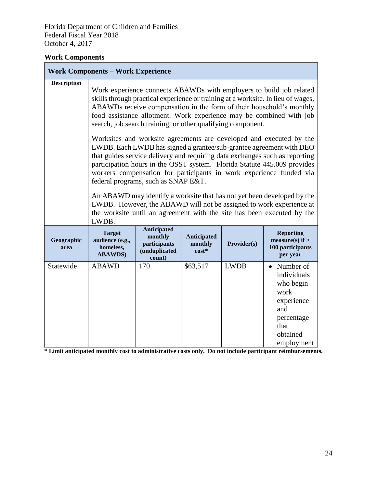## **Work Components**

|                    | <b>Work Components - Work Experience</b>                         |                                                                                                                                                                                                                                                                                                                                                                                                                                                                                                                                                                                                                                                                                                                                                                                                                                                                                                                                                                                                                          |                                          |             |                                                                                                                      |  |  |  |
|--------------------|------------------------------------------------------------------|--------------------------------------------------------------------------------------------------------------------------------------------------------------------------------------------------------------------------------------------------------------------------------------------------------------------------------------------------------------------------------------------------------------------------------------------------------------------------------------------------------------------------------------------------------------------------------------------------------------------------------------------------------------------------------------------------------------------------------------------------------------------------------------------------------------------------------------------------------------------------------------------------------------------------------------------------------------------------------------------------------------------------|------------------------------------------|-------------|----------------------------------------------------------------------------------------------------------------------|--|--|--|
| <b>Description</b> | LWDB.                                                            | Work experience connects ABAWDs with employers to build job related<br>skills through practical experience or training at a worksite. In lieu of wages,<br>ABAWDs receive compensation in the form of their household's monthly<br>food assistance allotment. Work experience may be combined with job<br>search, job search training, or other qualifying component.<br>Worksites and worksite agreements are developed and executed by the<br>LWDB. Each LWDB has signed a grantee/sub-grantee agreement with DEO<br>that guides service delivery and requiring data exchanges such as reporting<br>participation hours in the OSST system. Florida Statute 445.009 provides<br>workers compensation for participants in work experience funded via<br>federal programs, such as SNAP E&T.<br>An ABAWD may identify a worksite that has not yet been developed by the<br>LWDB. However, the ABAWD will not be assigned to work experience at<br>the worksite until an agreement with the site has been executed by the |                                          |             |                                                                                                                      |  |  |  |
| Geographic<br>area | <b>Target</b><br>audience (e.g.,<br>homeless,<br><b>ABAWDS</b> ) | <b>Anticipated</b><br>monthly<br>participants<br>(unduplicated<br>count)                                                                                                                                                                                                                                                                                                                                                                                                                                                                                                                                                                                                                                                                                                                                                                                                                                                                                                                                                 | <b>Anticipated</b><br>monthly<br>$cost*$ | Provider(s) | <b>Reporting</b><br>measure(s) if $>$<br>100 participants<br>per year                                                |  |  |  |
| Statewide          | <b>ABAWD</b>                                                     | 170                                                                                                                                                                                                                                                                                                                                                                                                                                                                                                                                                                                                                                                                                                                                                                                                                                                                                                                                                                                                                      | \$63,517                                 | <b>LWDB</b> | • Number of<br>individuals<br>who begin<br>work<br>experience<br>and<br>percentage<br>that<br>obtained<br>employment |  |  |  |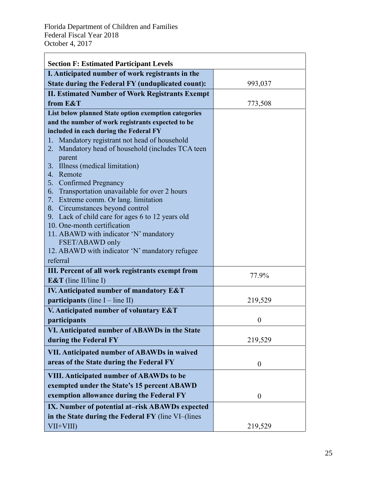<span id="page-25-0"></span>

| <b>Section F: Estimated Participant Levels</b>         |                  |
|--------------------------------------------------------|------------------|
| I. Anticipated number of work registrants in the       |                  |
| State during the Federal FY (unduplicated count):      | 993,037          |
| <b>II. Estimated Number of Work Registrants Exempt</b> |                  |
| from E&T                                               | 773,508          |
| List below planned State option exemption categories   |                  |
| and the number of work registrants expected to be      |                  |
| included in each during the Federal FY                 |                  |
| Mandatory registrant not head of household<br>1.       |                  |
| Mandatory head of household (includes TCA teen<br>2.   |                  |
| parent                                                 |                  |
| Illness (medical limitation)<br>3.<br>Remote           |                  |
| 4.<br><b>Confirmed Pregnancy</b><br>5.                 |                  |
| Transportation unavailable for over 2 hours<br>6.      |                  |
| Extreme comm. Or lang. limitation<br>7.                |                  |
| Circumstances beyond control<br>8.                     |                  |
| Lack of child care for ages 6 to 12 years old<br>9.    |                  |
| 10. One-month certification                            |                  |
| 11. ABAWD with indicator 'N' mandatory                 |                  |
| FSET/ABAWD only                                        |                  |
| 12. ABAWD with indicator 'N' mandatory refugee         |                  |
| referral                                               |                  |
| III. Percent of all work registrants exempt from       | 77.9%            |
| E&T (line II/line I)                                   |                  |
| IV. Anticipated number of mandatory E&T                |                  |
| participants (line $I$ – line II)                      | 219,529          |
| V. Anticipated number of voluntary E&T                 |                  |
| participants                                           | $\boldsymbol{0}$ |
| VI. Anticipated number of ABAWDs in the State          |                  |
| during the Federal FY                                  | 219,529          |
| VII. Anticipated number of ABAWDs in waived            |                  |
| areas of the State during the Federal FY               | $\boldsymbol{0}$ |
| <b>VIII. Anticipated number of ABAWDs to be</b>        |                  |
| exempted under the State's 15 percent ABAWD            |                  |
| exemption allowance during the Federal FY              | $\boldsymbol{0}$ |
|                                                        |                  |
| IX. Number of potential at-risk ABAWDs expected        |                  |
| in the State during the Federal FY (line VI-(lines     |                  |
| VII+VIII)                                              | 219,529          |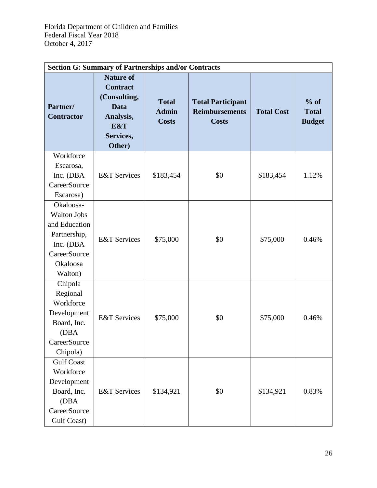<span id="page-26-0"></span>

| <b>Section G: Summary of Partnerships and/or Contracts</b>                                                                  |                                                                                                               |                                              |                                                                   |                   |                                         |  |
|-----------------------------------------------------------------------------------------------------------------------------|---------------------------------------------------------------------------------------------------------------|----------------------------------------------|-------------------------------------------------------------------|-------------------|-----------------------------------------|--|
| Partner/<br><b>Contractor</b>                                                                                               | <b>Nature of</b><br><b>Contract</b><br>(Consulting,<br><b>Data</b><br>Analysis,<br>E&T<br>Services,<br>Other) | <b>Total</b><br><b>Admin</b><br><b>Costs</b> | <b>Total Participant</b><br><b>Reimbursements</b><br><b>Costs</b> | <b>Total Cost</b> | $%$ of<br><b>Total</b><br><b>Budget</b> |  |
| Workforce<br>Escarosa,<br>Inc. (DBA<br>CareerSource<br>Escarosa)                                                            | <b>E&amp;T</b> Services                                                                                       | \$183,454                                    | \$0                                                               | \$183,454         | 1.12%                                   |  |
| Okaloosa-<br><b>Walton Jobs</b><br>and Education<br>Partnership,<br>Inc. (DBA<br><b>CareerSource</b><br>Okaloosa<br>Walton) | <b>E&amp;T</b> Services                                                                                       | \$75,000                                     | \$0                                                               | \$75,000          | 0.46%                                   |  |
| Chipola<br>Regional<br>Workforce<br>Development<br>Board, Inc.<br>(DBA<br>CareerSource<br>Chipola)                          | <b>E&amp;T</b> Services                                                                                       | \$75,000                                     | \$0                                                               | \$75,000          | 0.46%                                   |  |
| <b>Gulf Coast</b><br>Workforce<br>Development<br>Board, Inc.<br>(DBA<br>CareerSource<br>Gulf Coast)                         | <b>E&amp;T</b> Services                                                                                       | \$134,921                                    | \$0                                                               | \$134,921         | 0.83%                                   |  |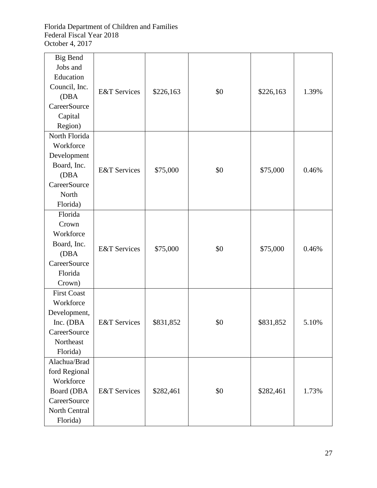| <b>Big Bend</b>     |                         |           |     |           |       |
|---------------------|-------------------------|-----------|-----|-----------|-------|
| Jobs and            |                         |           |     |           |       |
| Education           |                         |           |     |           |       |
| Council, Inc.       | <b>E&amp;T</b> Services | \$226,163 | \$0 | \$226,163 | 1.39% |
| (DBA                |                         |           |     |           |       |
| CareerSource        |                         |           |     |           |       |
| Capital             |                         |           |     |           |       |
| Region)             |                         |           |     |           |       |
| North Florida       |                         |           |     |           |       |
| Workforce           |                         |           |     |           |       |
| Development         |                         |           |     |           |       |
| Board, Inc.         | <b>E&amp;T</b> Services |           | \$0 |           | 0.46% |
| (DBA                |                         | \$75,000  |     | \$75,000  |       |
| CareerSource        |                         |           |     |           |       |
| North               |                         |           |     |           |       |
| Florida)            |                         |           |     |           |       |
| Florida             |                         |           |     |           |       |
| Crown               |                         |           |     |           |       |
| Workforce           |                         |           |     |           |       |
| Board, Inc.         | <b>E&amp;T</b> Services |           | \$0 |           | 0.46% |
| (DBA                |                         | \$75,000  |     | \$75,000  |       |
| <b>CareerSource</b> |                         |           |     |           |       |
| Florida             |                         |           |     |           |       |
| Crown)              |                         |           |     |           |       |
| <b>First Coast</b>  |                         |           |     |           |       |
| Workforce           |                         |           |     |           |       |
| Development,        |                         |           |     |           |       |
| Inc. (DBA           | <b>E&amp;T</b> Services | \$831,852 | \$0 | \$831,852 | 5.10% |
| CareerSource        |                         |           |     |           |       |
| Northeast           |                         |           |     |           |       |
| Florida)            |                         |           |     |           |       |
| Alachua/Brad        |                         |           |     |           |       |
| ford Regional       |                         |           |     |           |       |
| Workforce           |                         |           |     |           |       |
| Board (DBA          | <b>E&amp;T</b> Services | \$282,461 | \$0 | \$282,461 | 1.73% |
| CareerSource        |                         |           |     |           |       |
| North Central       |                         |           |     |           |       |
| Florida)            |                         |           |     |           |       |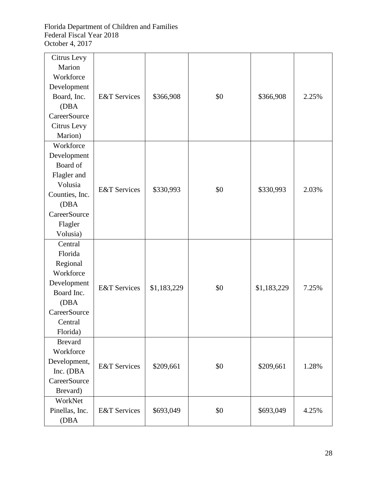| Citrus Levy         |                         |             |     |             |       |
|---------------------|-------------------------|-------------|-----|-------------|-------|
| Marion              |                         |             |     |             |       |
| Workforce           |                         |             |     |             |       |
| Development         |                         |             |     |             |       |
| Board, Inc.         | <b>E&amp;T</b> Services | \$366,908   | \$0 | \$366,908   | 2.25% |
| (DBA                |                         |             |     |             |       |
| CareerSource        |                         |             |     |             |       |
| Citrus Levy         |                         |             |     |             |       |
| Marion)             |                         |             |     |             |       |
| Workforce           |                         |             |     |             |       |
| Development         |                         |             |     |             |       |
| Board of            |                         |             |     |             |       |
| Flagler and         |                         |             |     |             |       |
| Volusia             | <b>E&amp;T</b> Services |             | \$0 | \$330,993   | 2.03% |
| Counties, Inc.      |                         | \$330,993   |     |             |       |
| (DBA                |                         |             |     |             |       |
| <b>CareerSource</b> |                         |             |     |             |       |
| Flagler             |                         |             |     |             |       |
| Volusia)            |                         |             |     |             |       |
| Central             |                         |             |     |             |       |
| Florida             |                         |             |     |             |       |
| Regional            |                         |             |     |             |       |
| Workforce           |                         |             |     |             |       |
| Development         | <b>E&amp;T</b> Services |             | \$0 |             | 7.25% |
| Board Inc.          |                         | \$1,183,229 |     | \$1,183,229 |       |
| (DBA                |                         |             |     |             |       |
| CareerSource        |                         |             |     |             |       |
| Central             |                         |             |     |             |       |
| Florida)            |                         |             |     |             |       |
| <b>Brevard</b>      |                         |             |     |             |       |
| Workforce           |                         |             |     |             |       |
| Development,        | <b>E&amp;T</b> Services |             |     |             |       |
| Inc. (DBA           |                         | \$209,661   | \$0 | \$209,661   | 1.28% |
| <b>CareerSource</b> |                         |             |     |             |       |
| Brevard)            |                         |             |     |             |       |
| WorkNet             |                         |             |     |             |       |
| Pinellas, Inc.      | <b>E&amp;T</b> Services | \$693,049   | \$0 | \$693,049   | 4.25% |
| (DBA                |                         |             |     |             |       |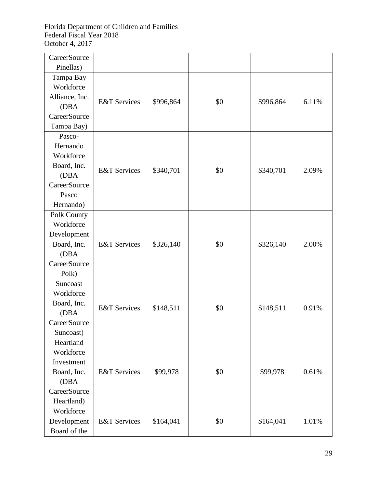| <b>CareerSource</b> |                         |           |     |           |       |
|---------------------|-------------------------|-----------|-----|-----------|-------|
| Pinellas)           |                         |           |     |           |       |
| Tampa Bay           |                         |           |     |           |       |
| Workforce           |                         |           |     |           |       |
| Alliance, Inc.      |                         |           | \$0 |           |       |
| (DBA                | <b>E&amp;T</b> Services | \$996,864 |     | \$996,864 | 6.11% |
| <b>CareerSource</b> |                         |           |     |           |       |
| Tampa Bay)          |                         |           |     |           |       |
| Pasco-              |                         |           |     |           |       |
| Hernando            |                         |           |     |           |       |
| Workforce           |                         |           |     |           |       |
| Board, Inc.         |                         |           |     |           |       |
| (DBA                | <b>E&amp;T</b> Services | \$340,701 | \$0 | \$340,701 | 2.09% |
| <b>CareerSource</b> |                         |           |     |           |       |
| Pasco               |                         |           |     |           |       |
| Hernando)           |                         |           |     |           |       |
| Polk County         |                         |           |     |           |       |
| Workforce           |                         |           |     |           |       |
| Development         |                         |           |     |           |       |
| Board, Inc.         | <b>E&amp;T</b> Services | \$326,140 | \$0 | \$326,140 | 2.00% |
| (DBA                |                         |           |     |           |       |
| <b>CareerSource</b> |                         |           |     |           |       |
| Polk)               |                         |           |     |           |       |
| Suncoast            |                         |           |     |           |       |
| Workforce           |                         |           |     |           |       |
| Board, Inc.         | <b>E&amp;T</b> Services | \$148,511 | \$0 | \$148,511 | 0.91% |
| (DBA                |                         |           |     |           |       |
| <b>CareerSource</b> |                         |           |     |           |       |
| Suncoast)           |                         |           |     |           |       |
| Heartland           |                         |           |     |           |       |
| Workforce           |                         |           |     |           |       |
| Investment          |                         |           |     |           |       |
| Board, Inc.         | <b>E&amp;T</b> Services | \$99,978  | \$0 | \$99,978  | 0.61% |
| (DBA                |                         |           |     |           |       |
| CareerSource        |                         |           |     |           |       |
| Heartland)          |                         |           |     |           |       |
| Workforce           |                         |           |     |           |       |
| Development         | <b>E&amp;T</b> Services | \$164,041 | \$0 | \$164,041 | 1.01% |
| Board of the        |                         |           |     |           |       |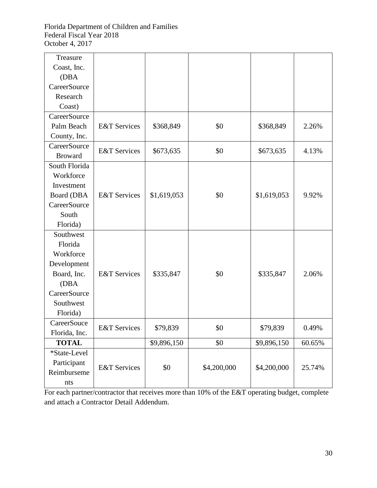| Treasure            |                         |             |             |             |        |
|---------------------|-------------------------|-------------|-------------|-------------|--------|
| Coast, Inc.         |                         |             |             |             |        |
| (DBA                |                         |             |             |             |        |
| CareerSource        |                         |             |             |             |        |
| Research            |                         |             |             |             |        |
| Coast)              |                         |             |             |             |        |
| <b>CareerSource</b> |                         |             |             |             |        |
| Palm Beach          | <b>E&amp;T</b> Services | \$368,849   | \$0         | \$368,849   | 2.26%  |
| County, Inc.        |                         |             |             |             |        |
| <b>CareerSource</b> | <b>E&amp;T</b> Services |             | \$0         |             |        |
| <b>Broward</b>      |                         | \$673,635   |             | \$673,635   | 4.13%  |
| South Florida       |                         |             |             |             |        |
| Workforce           |                         |             |             |             |        |
| Investment          |                         |             |             |             |        |
| Board (DBA          | <b>E&amp;T</b> Services | \$1,619,053 | \$0         | \$1,619,053 | 9.92%  |
| <b>CareerSource</b> |                         |             |             |             |        |
| South               |                         |             |             |             |        |
| Florida)            |                         |             |             |             |        |
| Southwest           |                         |             |             |             |        |
| Florida             |                         |             |             |             |        |
| Workforce           |                         |             |             |             |        |
| Development         |                         |             |             |             |        |
| Board, Inc.         | <b>E&amp;T</b> Services | \$335,847   | \$0         | \$335,847   | 2.06%  |
| (DBA                |                         |             |             |             |        |
| <b>CareerSource</b> |                         |             |             |             |        |
| Southwest           |                         |             |             |             |        |
| Florida)            |                         |             |             |             |        |
| CareerSouce         |                         |             |             |             | 0.49%  |
| Florida, Inc.       | <b>E&amp;T</b> Services | \$79,839    | \$0         | \$79,839    |        |
| <b>TOTAL</b>        |                         | \$9,896,150 | \$0         | \$9,896,150 | 60.65% |
| *State-Level        |                         |             |             |             |        |
| Participant         | <b>E&amp;T</b> Services | \$0         | \$4,200,000 | \$4,200,000 | 25.74% |
| Reimburseme         |                         |             |             |             |        |
| nts                 |                         |             |             |             |        |

For each partner/contractor that receives more than 10% of the E&T operating budget, complete and attach a Contractor Detail Addendum.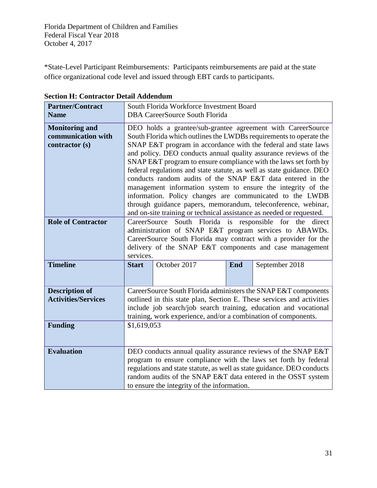\*State-Level Participant Reimbursements: Participants reimbursements are paid at the state office organizational code level and issued through EBT cards to participants.

| <b>Partner/Contract</b><br><b>Name</b>                                                     | South Florida Workforce Investment Board<br><b>DBA CareerSource South Florida</b>                                                                                                                                                                                                                                                                                                                                                                                                                                                                                                                                                                                                                                                                                                                                                                                                      |                                             |     |                                                                                                                                                                                                                                                                             |  |  |
|--------------------------------------------------------------------------------------------|----------------------------------------------------------------------------------------------------------------------------------------------------------------------------------------------------------------------------------------------------------------------------------------------------------------------------------------------------------------------------------------------------------------------------------------------------------------------------------------------------------------------------------------------------------------------------------------------------------------------------------------------------------------------------------------------------------------------------------------------------------------------------------------------------------------------------------------------------------------------------------------|---------------------------------------------|-----|-----------------------------------------------------------------------------------------------------------------------------------------------------------------------------------------------------------------------------------------------------------------------------|--|--|
| <b>Monitoring and</b><br>communication with<br>contractor (s)<br><b>Role of Contractor</b> | DEO holds a grantee/sub-grantee agreement with CareerSource<br>South Florida which outlines the LWDBs requirements to operate the<br>SNAP E&T program in accordance with the federal and state laws<br>and policy. DEO conducts annual quality assurance reviews of the<br>SNAP E&T program to ensure compliance with the laws set forth by<br>federal regulations and state statute, as well as state guidance. DEO<br>conducts random audits of the SNAP E&T data entered in the<br>management information system to ensure the integrity of the<br>information. Policy changes are communicated to the LWDB<br>through guidance papers, memorandum, teleconference, webinar,<br>and on-site training or technical assistance as needed or requested.<br>South Florida is responsible for<br>the<br>CareerSource<br>direct<br>administration of SNAP E&T program services to ABAWDs. |                                             |     |                                                                                                                                                                                                                                                                             |  |  |
|                                                                                            | services.                                                                                                                                                                                                                                                                                                                                                                                                                                                                                                                                                                                                                                                                                                                                                                                                                                                                              |                                             |     | CareerSource South Florida may contract with a provider for the<br>delivery of the SNAP E&T components and case management                                                                                                                                                  |  |  |
| <b>Timeline</b>                                                                            | <b>Start</b>                                                                                                                                                                                                                                                                                                                                                                                                                                                                                                                                                                                                                                                                                                                                                                                                                                                                           | October 2017                                | End | September 2018                                                                                                                                                                                                                                                              |  |  |
| <b>Description of</b><br><b>Activities/Services</b>                                        | CareerSource South Florida administers the SNAP E&T components<br>outlined in this state plan, Section E. These services and activities<br>include job search/job search training, education and vocational<br>training, work experience, and/or a combination of components.                                                                                                                                                                                                                                                                                                                                                                                                                                                                                                                                                                                                          |                                             |     |                                                                                                                                                                                                                                                                             |  |  |
| <b>Funding</b>                                                                             | \$1,619,053                                                                                                                                                                                                                                                                                                                                                                                                                                                                                                                                                                                                                                                                                                                                                                                                                                                                            |                                             |     |                                                                                                                                                                                                                                                                             |  |  |
| <b>Evaluation</b>                                                                          |                                                                                                                                                                                                                                                                                                                                                                                                                                                                                                                                                                                                                                                                                                                                                                                                                                                                                        | to ensure the integrity of the information. |     | DEO conducts annual quality assurance reviews of the SNAP E&T<br>program to ensure compliance with the laws set forth by federal<br>regulations and state statute, as well as state guidance. DEO conducts<br>random audits of the SNAP E&T data entered in the OSST system |  |  |

<span id="page-31-0"></span>**Section H: Contractor Detail Addendum**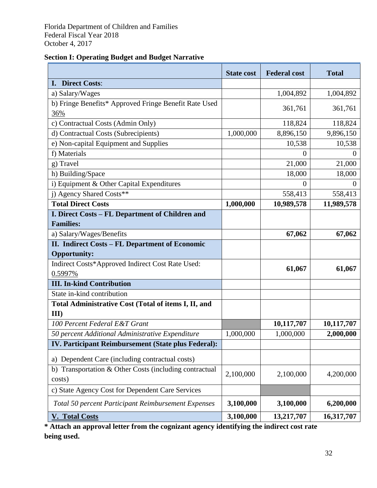<span id="page-32-0"></span>

|  | <b>Section I: Operating Budget and Budget Narrative</b> |  |  |
|--|---------------------------------------------------------|--|--|

|                                                        | <b>State cost</b> | <b>Federal cost</b> | <b>Total</b> |
|--------------------------------------------------------|-------------------|---------------------|--------------|
| <b>I.</b> Direct Costs:                                |                   |                     |              |
| a) Salary/Wages                                        |                   | 1,004,892           | 1,004,892    |
| b) Fringe Benefits* Approved Fringe Benefit Rate Used  |                   |                     |              |
| 36%                                                    |                   | 361,761             | 361,761      |
| c) Contractual Costs (Admin Only)                      |                   | 118,824             | 118,824      |
| d) Contractual Costs (Subrecipients)                   | 1,000,000         | 8,896,150           | 9,896,150    |
| e) Non-capital Equipment and Supplies                  |                   | 10,538              | 10,538       |
| f) Materials                                           |                   | $\theta$            | $\theta$     |
| g) Travel                                              |                   | 21,000              | 21,000       |
| h) Building/Space                                      |                   | 18,000              | 18,000       |
| i) Equipment & Other Capital Expenditures              |                   | $\overline{0}$      | $\theta$     |
| j) Agency Shared Costs**                               |                   | 558,413             | 558,413      |
| <b>Total Direct Costs</b>                              | 1,000,000         | 10,989,578          | 11,989,578   |
| I. Direct Costs - FL Department of Children and        |                   |                     |              |
| <b>Families:</b>                                       |                   |                     |              |
| a) Salary/Wages/Benefits                               |                   | 67,062              | 67,062       |
| <b>II. Indirect Costs - FL Department of Economic</b>  |                   |                     |              |
| <b>Opportunity:</b>                                    |                   |                     |              |
| Indirect Costs*Approved Indirect Cost Rate Used:       |                   | 61,067              | 61,067       |
| 0.5997%                                                |                   |                     |              |
| <b>III. In-kind Contribution</b>                       |                   |                     |              |
| State in-kind contribution                             |                   |                     |              |
| Total Administrative Cost (Total of items I, II, and   |                   |                     |              |
| III                                                    |                   |                     |              |
| 100 Percent Federal E&T Grant                          |                   | 10,117,707          | 10,117,707   |
| 50 percent Additional Administrative Expenditure       | 1,000,000         | 1,000,000           | 2,000,000    |
| IV. Participant Reimbursement (State plus Federal):    |                   |                     |              |
| a) Dependent Care (including contractual costs)        |                   |                     |              |
| b) Transportation & Other Costs (including contractual | 2,100,000         | 2,100,000           | 4,200,000    |
| costs)                                                 |                   |                     |              |
| c) State Agency Cost for Dependent Care Services       |                   |                     |              |
| Total 50 percent Participant Reimbursement Expenses    | 3,100,000         | 3,100,000           | 6,200,000    |
| <b>V. Total Costs</b>                                  | 3,100,000         | 13,217,707          | 16,317,707   |

**\* Attach an approval letter from the cognizant agency identifying the indirect cost rate being used.**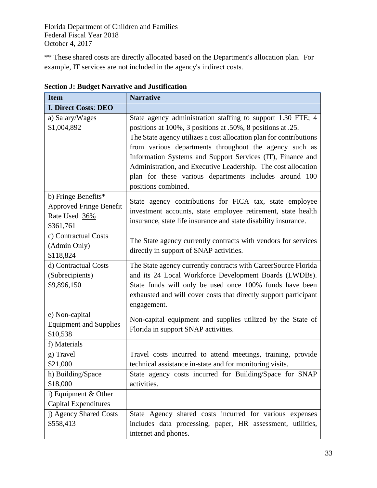\*\* These shared costs are directly allocated based on the Department's allocation plan. For example, IT services are not included in the agency's indirect costs.

| <b>Item</b>                                                                         | <b>Narrative</b>                                                                                                                                                                                                                                                                                                                                                                                                                                                           |
|-------------------------------------------------------------------------------------|----------------------------------------------------------------------------------------------------------------------------------------------------------------------------------------------------------------------------------------------------------------------------------------------------------------------------------------------------------------------------------------------------------------------------------------------------------------------------|
| <b>I. Direct Costs: DEO</b>                                                         |                                                                                                                                                                                                                                                                                                                                                                                                                                                                            |
| a) Salary/Wages<br>\$1,004,892                                                      | State agency administration staffing to support 1.30 FTE; 4<br>positions at 100%, 3 positions at .50%, 8 positions at .25.<br>The State agency utilizes a cost allocation plan for contributions<br>from various departments throughout the agency such as<br>Information Systems and Support Services (IT), Finance and<br>Administration, and Executive Leadership. The cost allocation<br>plan for these various departments includes around 100<br>positions combined. |
| b) Fringe Benefits*<br><b>Approved Fringe Benefit</b><br>Rate Used 36%<br>\$361,761 | State agency contributions for FICA tax, state employee<br>investment accounts, state employee retirement, state health<br>insurance, state life insurance and state disability insurance.                                                                                                                                                                                                                                                                                 |
| c) Contractual Costs<br>(Admin Only)<br>\$118,824                                   | The State agency currently contracts with vendors for services<br>directly in support of SNAP activities.                                                                                                                                                                                                                                                                                                                                                                  |
| d) Contractual Costs<br>(Subrecipients)<br>\$9,896,150                              | The State agency currently contracts with CareerSource Florida<br>and its 24 Local Workforce Development Boards (LWDBs).<br>State funds will only be used once 100% funds have been<br>exhausted and will cover costs that directly support participant<br>engagement.                                                                                                                                                                                                     |
| e) Non-capital<br><b>Equipment and Supplies</b><br>\$10,538                         | Non-capital equipment and supplies utilized by the State of<br>Florida in support SNAP activities.                                                                                                                                                                                                                                                                                                                                                                         |
| f) Materials                                                                        |                                                                                                                                                                                                                                                                                                                                                                                                                                                                            |
| g) Travel<br>\$21,000<br>h) Building/Space                                          | Travel costs incurred to attend meetings, training, provide<br>technical assistance in-state and for monitoring visits.<br>State agency costs incurred for Building/Space for SNAP                                                                                                                                                                                                                                                                                         |
| \$18,000<br>i) Equipment & Other<br><b>Capital Expenditures</b>                     | activities.                                                                                                                                                                                                                                                                                                                                                                                                                                                                |
| j) Agency Shared Costs<br>\$558,413                                                 | State Agency shared costs incurred for various expenses<br>includes data processing, paper, HR assessment, utilities,<br>internet and phones.                                                                                                                                                                                                                                                                                                                              |

<span id="page-33-0"></span>**Section J: Budget Narrative and Justification**